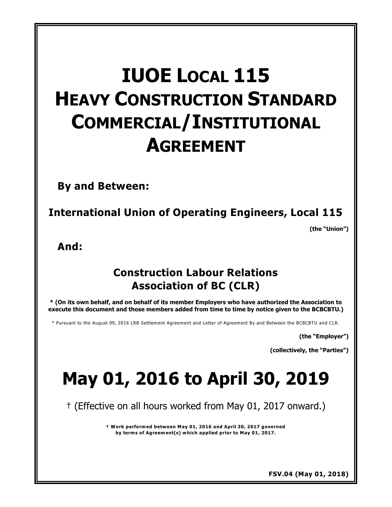# **IUOE LOCAL 115 HEAVY CONSTRUCTION STANDARD COMMERCIAL/INSTITUTIONAL AGREEMENT**

**By and Between:**

**International Union of Operating Engineers, Local 115**

**(the "Union")** 

**And:**

# **Construction Labour Relations Association of BC (CLR)**

**\* (On its own behalf, and on behalf of its member Employers who have authorized the Association to execute this document and those members added from time to time by notice given to the BCBCBTU.)**

\* Pursuant to the August 09, 2016 LRB Settlement Agreement and Letter of Agreement By and Between the BCBCBTU and CLR.

**(the "Employer")** 

**(collectively, the "Parties")** 

# **May 01, 2016 to April 30, 2019**

† (Effective on all hours worked from May 01, 2017 onward.)

**† Work performed between May 01, 2016 and April 30, 2017 governed by terms of Agreement(s) which applied prior to May 01, 2017.**

**FSV.04 (May 01, 2018)**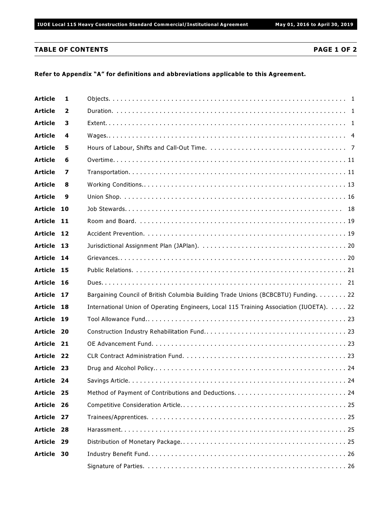### **TABLE OF CONTENTS PAGE 1 OF 2**

### **Refer to Appendix "A" for definitions and abbreviations applicable to this Agreement.**

| <b>Article</b> | 1              |                                                                                         |
|----------------|----------------|-----------------------------------------------------------------------------------------|
| <b>Article</b> | $\overline{2}$ |                                                                                         |
| <b>Article</b> | 3              |                                                                                         |
| <b>Article</b> | 4              |                                                                                         |
| <b>Article</b> | 5              |                                                                                         |
| <b>Article</b> | 6              |                                                                                         |
| <b>Article</b> | 7              |                                                                                         |
| <b>Article</b> | 8              |                                                                                         |
| <b>Article</b> | 9              |                                                                                         |
| <b>Article</b> | 10             |                                                                                         |
| <b>Article</b> | -11            |                                                                                         |
| <b>Article</b> | 12             |                                                                                         |
| Article 13     |                |                                                                                         |
| <b>Article</b> | 14             |                                                                                         |
| <b>Article</b> | 15             |                                                                                         |
| <b>Article</b> | 16             |                                                                                         |
| <b>Article</b> | 17             | Bargaining Council of British Columbia Building Trade Unions (BCBCBTU) Funding. 22      |
| <b>Article</b> | 18             | International Union of Operating Engineers, Local 115 Training Association (IUOETA). 22 |
| <b>Article</b> | 19             |                                                                                         |
| <b>Article</b> | - 20           |                                                                                         |
| <b>Article</b> | - 21           |                                                                                         |
| <b>Article</b> | -22            |                                                                                         |
| Article 23     |                |                                                                                         |
| Article 24     |                | . . 24                                                                                  |
| <b>Article</b> | - 25           |                                                                                         |
| Article 26     |                |                                                                                         |
| <b>Article</b> | 27             |                                                                                         |
| <b>Article</b> | 28             |                                                                                         |
| <b>Article</b> | 29             |                                                                                         |
| <b>Article</b> | 30             |                                                                                         |
|                |                |                                                                                         |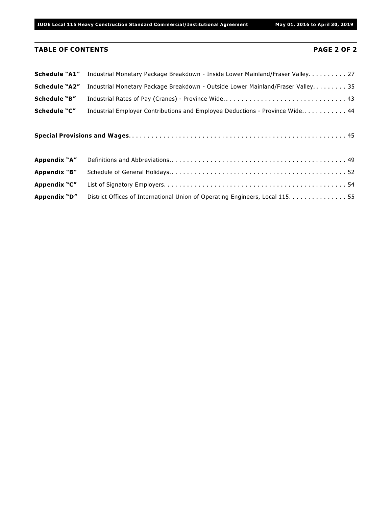# **TABLE OF CONTENTS PAGE 2 OF 2**

| Schedule "A1"        | Industrial Monetary Package Breakdown - Inside Lower Mainland/Fraser Valley. 27 |
|----------------------|---------------------------------------------------------------------------------|
| <b>Schedule "A2"</b> | Industrial Monetary Package Breakdown - Outside Lower Mainland/Fraser Valley35  |
| Schedule "B"         |                                                                                 |
| Schedule "C"         | Industrial Employer Contributions and Employee Deductions - Province Wide 44    |
|                      |                                                                                 |
| Appendix "A"         |                                                                                 |
| Appendix "B"         |                                                                                 |
| Appendix "C"         |                                                                                 |
| Appendix "D"         | District Offices of International Union of Operating Engineers, Local 115. 55   |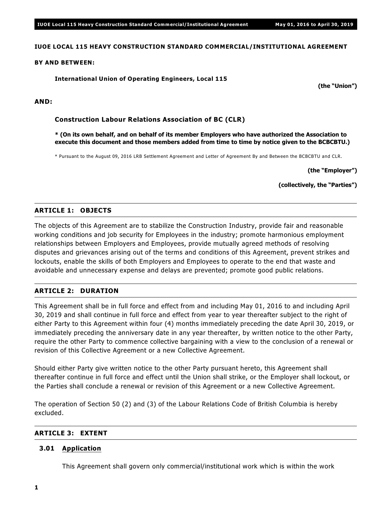### **IUOE LOCAL 115 HEAVY CONSTRUCTION STANDARD COMMERCIAL/INSTITUTIONAL AGREEMENT**

#### **BY AND BETWEEN:**

**International Union of Operating Engineers, Local 115**

**AND:**

**Construction Labour Relations Association of BC (CLR)**

**\* (On its own behalf, and on behalf of its member Employers who have authorized the Association to execute this document and those members added from time to time by notice given to the BCBCBTU.)**

\* Pursuant to the August 09, 2016 LRB Settlement Agreement and Letter of Agreement By and Between the BCBCBTU and CLR.

**(the "Employer")**

**(the "Union")**

**(collectively, the "Parties")**

# **ARTICLE 1: OBJECTS**

The objects of this Agreement are to stabilize the Construction Industry, provide fair and reasonable working conditions and job security for Employees in the industry; promote harmonious employment relationships between Employers and Employees, provide mutually agreed methods of resolving disputes and grievances arising out of the terms and conditions of this Agreement, prevent strikes and lockouts, enable the skills of both Employers and Employees to operate to the end that waste and avoidable and unnecessary expense and delays are prevented; promote good public relations.

# **ARTICLE 2: DURATION**

This Agreement shall be in full force and effect from and including May 01, 2016 to and including April 30, 2019 and shall continue in full force and effect from year to year thereafter subject to the right of either Party to this Agreement within four (4) months immediately preceding the date April 30, 2019, or immediately preceding the anniversary date in any year thereafter, by written notice to the other Party, require the other Party to commence collective bargaining with a view to the conclusion of a renewal or revision of this Collective Agreement or a new Collective Agreement.

Should either Party give written notice to the other Party pursuant hereto, this Agreement shall thereafter continue in full force and effect until the Union shall strike, or the Employer shall lockout, or the Parties shall conclude a renewal or revision of this Agreement or a new Collective Agreement.

The operation of Section 50 (2) and (3) of the *Labour Relations Code* of British Columbia is hereby excluded.

# **ARTICLE 3: EXTENT**

#### **3.01 Application**

This Agreement shall govern only commercial/institutional work which is within the work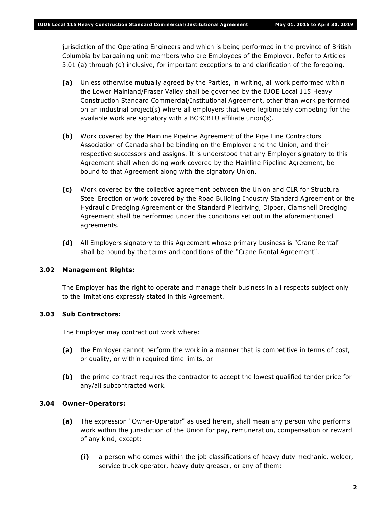jurisdiction of the Operating Engineers and which is being performed in the province of British Columbia by bargaining unit members who are Employees of the Employer. Refer to Articles 3.01 (a) through (d) inclusive, for important exceptions to and clarification of the foregoing.

- **(a)** Unless otherwise mutually agreed by the Parties, in writing, all work performed within the Lower Mainland/Fraser Valley shall be governed by the IUOE Local 115 Heavy Construction Standard Commercial/Institutional Agreement, other than work performed on an industrial project(s) where all employers that were legitimately competing for the available work are signatory with a BCBCBTU affiliate union(s).
- **(b)** Work covered by the Mainline Pipeline Agreement of the Pipe Line Contractors Association of Canada shall be binding on the Employer and the Union, and their respective successors and assigns. It is understood that any Employer signatory to this Agreement shall when doing work covered by the Mainline Pipeline Agreement, be bound to that Agreement along with the signatory Union.
- **(c)** Work covered by the collective agreement between the Union and CLR for Structural Steel Erection or work covered by the Road Building Industry Standard Agreement or the Hydraulic Dredging Agreement or the Standard Piledriving, Dipper, Clamshell Dredging Agreement shall be performed under the conditions set out in the aforementioned agreements.
- **(d)** All Employers signatory to this Agreement whose primary business is "Crane Rental" shall be bound by the terms and conditions of the "Crane Rental Agreement".

# **3.02 Management Rights:**

The Employer has the right to operate and manage their business in all respects subject only to the limitations expressly stated in this Agreement.

# **3.03 Sub Contractors:**

The Employer may contract out work where:

- **(a)** the Employer cannot perform the work in a manner that is competitive in terms of cost, or quality, or within required time limits, or
- **(b)** the prime contract requires the contractor to accept the lowest qualified tender price for any/all subcontracted work.

# **3.04 Owner-Operators:**

- **(a)** The expression "Owner-Operator" as used herein, shall mean any person who performs work within the jurisdiction of the Union for pay, remuneration, compensation or reward of any kind, except:
	- **(i)** a person who comes within the job classifications of heavy duty mechanic, welder, service truck operator, heavy duty greaser, or any of them;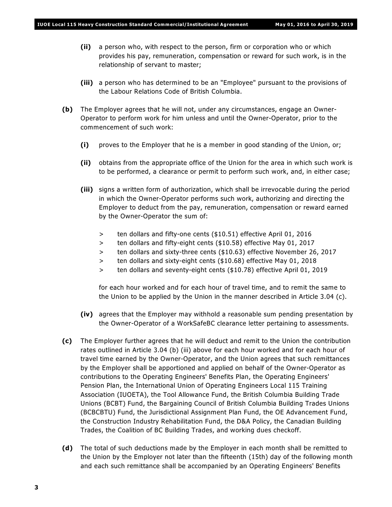- **(ii)** a person who, with respect to the person, firm or corporation who or which provides his pay, remuneration, compensation or reward for such work, is in the relationship of servant to master;
- **(iii)** a person who has determined to be an "Employee" pursuant to the provisions of the *Labour Relations Code* of British Columbia.
- **(b)** The Employer agrees that he will not, under any circumstances, engage an Owner-Operator to perform work for him unless and until the Owner-Operator, prior to the commencement of such work:
	- **(i)** proves to the Employer that he is a member in good standing of the Union, or;
	- **(ii)** obtains from the appropriate office of the Union for the area in which such work is to be performed, a clearance or permit to perform such work, and, in either case;
	- **(iii)** signs a written form of authorization, which shall be irrevocable during the period in which the Owner-Operator performs such work, authorizing and directing the Employer to deduct from the pay, remuneration, compensation or reward earned by the Owner-Operator the sum of:
		- > ten dollars and fifty-one cents (\$10.51) effective April 01, 2016
		- > ten dollars and fifty-eight cents (\$10.58) effective May 01, 2017
		- > ten dollars and sixty-three cents (\$10.63) effective November 26, 2017
		- > ten dollars and sixty-eight cents (\$10.68) effective May 01, 2018
		- > ten dollars and seventy-eight cents (\$10.78) effective April 01, 2019

for each hour worked and for each hour of travel time, and to remit the same to the Union to be applied by the Union in the manner described in Article 3.04 (c).

- **(iv)** agrees that the Employer may withhold a reasonable sum pending presentation by the Owner-Operator of a WorkSafeBC clearance letter pertaining to assessments.
- **(c)** The Employer further agrees that he will deduct and remit to the Union the contribution rates outlined in Article 3.04 (b) (iii) above for each hour worked and for each hour of travel time earned by the Owner-Operator, and the Union agrees that such remittances by the Employer shall be apportioned and applied on behalf of the Owner-Operator as contributions to the Operating Engineers' Benefits Plan, the Operating Engineers' Pension Plan, the International Union of Operating Engineers Local 115 Training Association (IUOETA), the Tool Allowance Fund, the British Columbia Building Trade Unions (BCBT) Fund, the Bargaining Council of British Columbia Building Trades Unions (BCBCBTU) Fund, the Jurisdictional Assignment Plan Fund, the OE Advancement Fund, the Construction Industry Rehabilitation Fund, the D&A Policy, the Canadian Building Trades, the Coalition of BC Building Trades, and working dues checkoff.
- **(d)** The total of such deductions made by the Employer in each month shall be remitted to the Union by the Employer not later than the fifteenth (15th) day of the following month and each such remittance shall be accompanied by an Operating Engineers' Benefits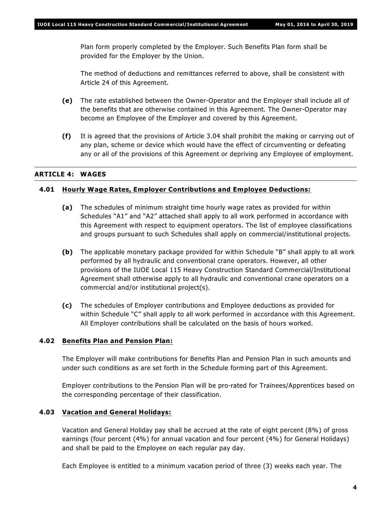Plan form properly completed by the Employer. Such Benefits Plan form shall be provided for the Employer by the Union.

The method of deductions and remittances referred to above, shall be consistent with Article 24 of this Agreement.

- **(e)** The rate established between the Owner-Operator and the Employer shall include all of the benefits that are otherwise contained in this Agreement. The Owner-Operator may become an Employee of the Employer and covered by this Agreement.
- **(f)** It is agreed that the provisions of Article 3.04 shall prohibit the making or carrying out of any plan, scheme or device which would have the effect of circumventing or defeating any or all of the provisions of this Agreement or depriving any Employee of employment.

### **ARTICLE 4: WAGES**

#### **4.01 Hourly Wage Rates, Employer Contributions and Employee Deductions:**

- **(a)** The schedules of minimum straight time hourly wage rates as provided for within Schedules "A1" and "A2" attached shall apply to all work performed in accordance with this Agreement with respect to equipment operators. The list of employee classifications and groups pursuant to such Schedules shall apply on commercial/institutional projects.
- **(b)** The applicable monetary package provided for within Schedule "B" shall apply to all work performed by all hydraulic and conventional crane operators. However, all other provisions of the IUOE Local 115 Heavy Construction Standard Commercial/Institutional Agreement shall otherwise apply to all hydraulic and conventional crane operators on a commercial and/or institutional project(s).
- **(c)** The schedules of Employer contributions and Employee deductions as provided for within Schedule "C" shall apply to all work performed in accordance with this Agreement. All Employer contributions shall be calculated on the basis of hours worked.

#### **4.02 Benefits Plan and Pension Plan:**

The Employer will make contributions for Benefits Plan and Pension Plan in such amounts and under such conditions as are set forth in the Schedule forming part of this Agreement.

Employer contributions to the Pension Plan will be pro-rated for Trainees/Apprentices based on the corresponding percentage of their classification.

#### **4.03 Vacation and General Holidays:**

Vacation and General Holiday pay shall be accrued at the rate of eight percent (8%) of gross earnings (four percent (4%) for annual vacation and four percent (4%) for General Holidays) and shall be paid to the Employee on each regular pay day.

Each Employee is entitled to a minimum vacation period of three (3) weeks each year. The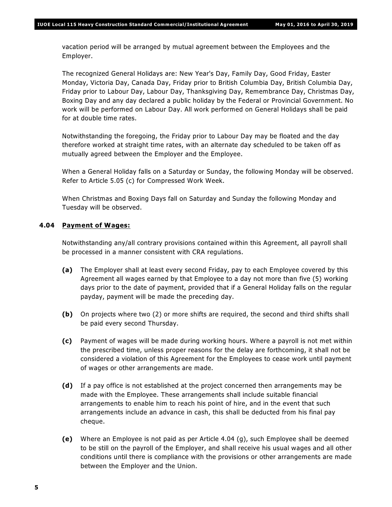vacation period will be arranged by mutual agreement between the Employees and the Employer.

The recognized General Holidays are: New Year's Day, Family Day, Good Friday, Easter Monday, Victoria Day, Canada Day, Friday prior to British Columbia Day, British Columbia Day, Friday prior to Labour Day, Labour Day, Thanksgiving Day, Remembrance Day, Christmas Day, Boxing Day and any day declared a public holiday by the Federal or Provincial Government. No work will be performed on Labour Day. All work performed on General Holidays shall be paid for at double time rates.

Notwithstanding the foregoing, the Friday prior to Labour Day may be floated and the day therefore worked at straight time rates, with an alternate day scheduled to be taken off as mutually agreed between the Employer and the Employee.

When a General Holiday falls on a Saturday or Sunday, the following Monday will be observed. Refer to Article 5.05 (c) for Compressed Work Week.

When Christmas and Boxing Days fall on Saturday and Sunday the following Monday and Tuesday will be observed.

### **4.04 Payment of Wages:**

Notwithstanding any/all contrary provisions contained within this Agreement, all payroll shall be processed in a manner consistent with CRA regulations.

- **(a)** The Employer shall at least every second Friday, pay to each Employee covered by this Agreement all wages earned by that Employee to a day not more than five (5) working days prior to the date of payment, provided that if a General Holiday falls on the regular payday, payment will be made the preceding day.
- **(b)** On projects where two (2) or more shifts are required, the second and third shifts shall be paid every second Thursday.
- **(c)** Payment of wages will be made during working hours. Where a payroll is not met within the prescribed time, unless proper reasons for the delay are forthcoming, it shall not be considered a violation of this Agreement for the Employees to cease work until payment of wages or other arrangements are made.
- **(d)** If a pay office is not established at the project concerned then arrangements may be made with the Employee. These arrangements shall include suitable financial arrangements to enable him to reach his point of hire, and in the event that such arrangements include an advance in cash, this shall be deducted from his final pay cheque.
- **(e)** Where an Employee is not paid as per Article 4.04 (g), such Employee shall be deemed to be still on the payroll of the Employer, and shall receive his usual wages and all other conditions until there is compliance with the provisions or other arrangements are made between the Employer and the Union.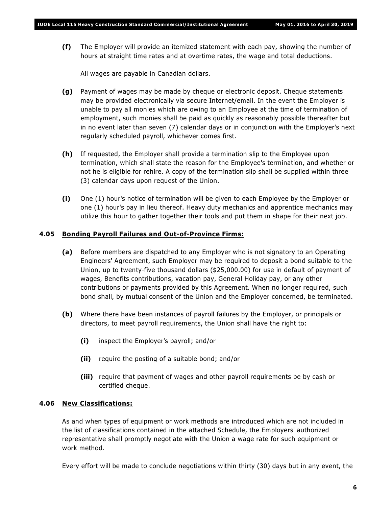**(f)** The Employer will provide an itemized statement with each pay, showing the number of hours at straight time rates and at overtime rates, the wage and total deductions.

All wages are payable in Canadian dollars.

- **(g)** Payment of wages may be made by cheque or electronic deposit. Cheque statements may be provided electronically via secure Internet/email. In the event the Employer is unable to pay all monies which are owing to an Employee at the time of termination of employment, such monies shall be paid as quickly as reasonably possible thereafter but in no event later than seven (7) calendar days or in conjunction with the Employer's next regularly scheduled payroll, whichever comes first.
- **(h)** If requested, the Employer shall provide a termination slip to the Employee upon termination, which shall state the reason for the Employee's termination, and whether or not he is eligible for rehire. A copy of the termination slip shall be supplied within three (3) calendar days upon request of the Union.
- **(i)** One (1) hour's notice of termination will be given to each Employee by the Employer or one (1) hour's pay in lieu thereof. Heavy duty mechanics and apprentice mechanics may utilize this hour to gather together their tools and put them in shape for their next job.

### **4.05 Bonding Payroll Failures and Out-of-Province Firms:**

- **(a)** Before members are dispatched to any Employer who is not signatory to an Operating Engineers' Agreement, such Employer may be required to deposit a bond suitable to the Union, up to twenty-five thousand dollars (\$25,000.00) for use in default of payment of wages, Benefits contributions, vacation pay, General Holiday pay, or any other contributions or payments provided by this Agreement. When no longer required, such bond shall, by mutual consent of the Union and the Employer concerned, be terminated.
- **(b)** Where there have been instances of payroll failures by the Employer, or principals or directors, to meet payroll requirements, the Union shall have the right to:
	- **(i)** inspect the Employer's payroll; and/or
	- **(ii)** require the posting of a suitable bond; and/or
	- **(iii)** require that payment of wages and other payroll requirements be by cash or certified cheque.

# **4.06 New Classifications:**

As and when types of equipment or work methods are introduced which are not included in the list of classifications contained in the attached Schedule, the Employers' authorized representative shall promptly negotiate with the Union a wage rate for such equipment or work method.

Every effort will be made to conclude negotiations within thirty (30) days but in any event, the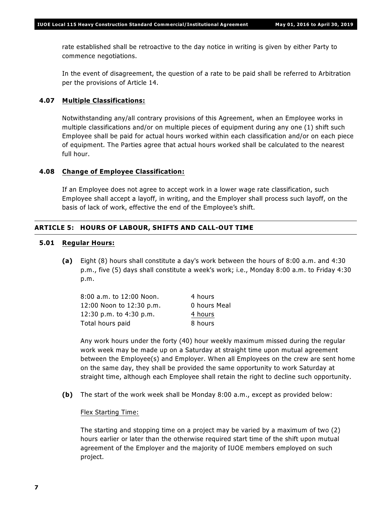rate established shall be retroactive to the day notice in writing is given by either Party to commence negotiations.

In the event of disagreement, the question of a rate to be paid shall be referred to Arbitration per the provisions of Article 14.

#### **4.07 Multiple Classifications:**

Notwithstanding any/all contrary provisions of this Agreement, when an Employee works in multiple classifications and/or on multiple pieces of equipment during any one (1) shift such Employee shall be paid for actual hours worked within each classification and/or on each piece of equipment. The Parties agree that actual hours worked shall be calculated to the nearest full hour.

### **4.08 Change of Employee Classification:**

If an Employee does not agree to accept work in a lower wage rate classification, such Employee shall accept a layoff, in writing, and the Employer shall process such layoff, on the basis of lack of work, effective the end of the Employee's shift.

### **ARTICLE 5: HOURS OF LABOUR, SHIFTS AND CALL-OUT TIME**

#### **5.01 Regular Hours:**

**(a)** Eight (8) hours shall constitute a day's work between the hours of 8:00 a.m. and 4:30 p.m., five (5) days shall constitute a week's work; i.e., Monday 8:00 a.m. to Friday 4:30 p.m.

| 4 hours      |
|--------------|
| 0 hours Meal |
| 4 hours      |
| 8 hours      |
|              |

Any work hours under the forty (40) hour weekly maximum missed during the regular work week may be made up on a Saturday at straight time upon mutual agreement between the Employee(s) and Employer. When all Employees on the crew are sent home on the same day, they shall be provided the same opportunity to work Saturday at straight time, although each Employee shall retain the right to decline such opportunity.

**(b)** The start of the work week shall be Monday 8:00 a.m., except as provided below:

#### Flex Starting Time:

The starting and stopping time on a project may be varied by a maximum of two (2) hours earlier or later than the otherwise required start time of the shift upon mutual agreement of the Employer and the majority of IUOE members employed on such project.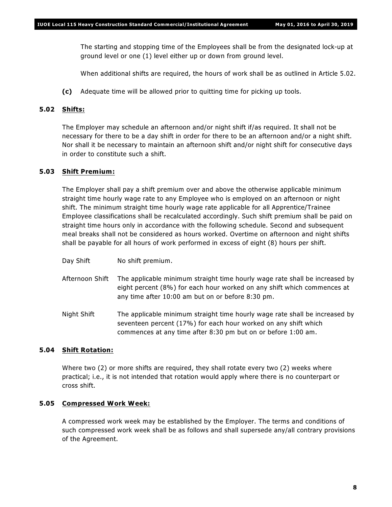The starting and stopping time of the Employees shall be from the designated lock-up at ground level or one (1) level either up or down from ground level.

When additional shifts are required, the hours of work shall be as outlined in Article 5.02.

**(c)** Adequate time will be allowed prior to quitting time for picking up tools.

# **5.02 Shifts:**

The Employer may schedule an afternoon and/or night shift if/as required. It shall not be necessary for there to be a day shift in order for there to be an afternoon and/or a night shift. Nor shall it be necessary to maintain an afternoon shift and/or night shift for consecutive days in order to constitute such a shift.

# **5.03 Shift Premium:**

The Employer shall pay a shift premium over and above the otherwise applicable minimum straight time hourly wage rate to any Employee who is employed on an afternoon or night shift. The minimum straight time hourly wage rate applicable for all Apprentice/Trainee Employee classifications shall be recalculated accordingly. Such shift premium shall be paid on straight time hours only in accordance with the following schedule. Second and subsequent meal breaks shall not be considered as hours worked. Overtime on afternoon and night shifts shall be payable for all hours of work performed in excess of eight (8) hours per shift.

- Day Shift No shift premium.
- Afternoon Shift The applicable minimum straight time hourly wage rate shall be increased by eight percent (8%) for each hour worked on any shift which commences at any time after 10:00 am but on or before 8:30 pm.
- Night Shift The applicable minimum straight time hourly wage rate shall be increased by seventeen percent (17%) for each hour worked on any shift which commences at any time after 8:30 pm but on or before 1:00 am.

# **5.04 Shift Rotation:**

Where two (2) or more shifts are required, they shall rotate every two (2) weeks where practical; i.e., it is not intended that rotation would apply where there is no counterpart or cross shift.

# **5.05 Compressed Work Week:**

A compressed work week may be established by the Employer. The terms and conditions of such compressed work week shall be as follows and shall supersede any/all contrary provisions of the Agreement.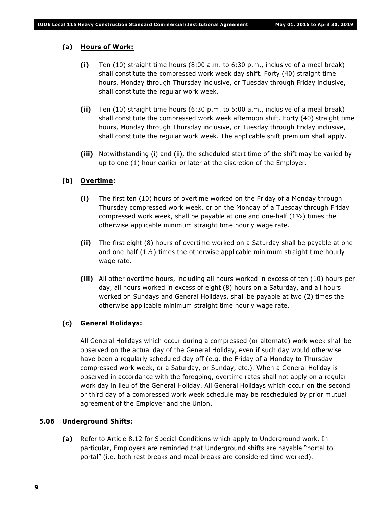#### **(a) Hours of Work:**

- **(i)** Ten (10) straight time hours (8:00 a.m. to 6:30 p.m., inclusive of a meal break) shall constitute the compressed work week day shift. Forty (40) straight time hours, Monday through Thursday inclusive, or Tuesday through Friday inclusive, shall constitute the regular work week.
- **(ii)** Ten (10) straight time hours (6:30 p.m. to 5:00 a.m., inclusive of a meal break) shall constitute the compressed work week afternoon shift. Forty (40) straight time hours, Monday through Thursday inclusive, or Tuesday through Friday inclusive, shall constitute the regular work week. The applicable shift premium shall apply.
- **(iii)** Notwithstanding (i) and (ii), the scheduled start time of the shift may be varied by up to one (1) hour earlier or later at the discretion of the Employer.

#### **(b) Overtime:**

- **(i)** The first ten (10) hours of overtime worked on the Friday of a Monday through Thursday compressed work week, or on the Monday of a Tuesday through Friday compressed work week, shall be payable at one and one-half  $(1<sup>1</sup>)<sub>2</sub>$ ) times the otherwise applicable minimum straight time hourly wage rate.
- **(ii)** The first eight (8) hours of overtime worked on a Saturday shall be payable at one and one-half  $(1\frac{1}{2})$  times the otherwise applicable minimum straight time hourly wage rate.
- **(iii)** All other overtime hours, including all hours worked in excess of ten (10) hours per day, all hours worked in excess of eight (8) hours on a Saturday, and all hours worked on Sundays and General Holidays, shall be payable at two (2) times the otherwise applicable minimum straight time hourly wage rate.

#### **(c) General Holidays:**

All General Holidays which occur during a compressed (or alternate) work week shall be observed on the actual day of the General Holiday, even if such day would otherwise have been a regularly scheduled day off (e.g. the Friday of a Monday to Thursday compressed work week, or a Saturday, or Sunday, etc.). When a General Holiday is observed in accordance with the foregoing, overtime rates shall not apply on a regular work day in lieu of the General Holiday. All General Holidays which occur on the second or third day of a compressed work week schedule may be rescheduled by prior mutual agreement of the Employer and the Union.

#### **5.06 Underground Shifts:**

**(a)** Refer to Article 8.12 for Special Conditions which apply to Underground work. In particular, Employers are reminded that Underground shifts are payable "portal to portal" (i.e. both rest breaks and meal breaks are considered time worked).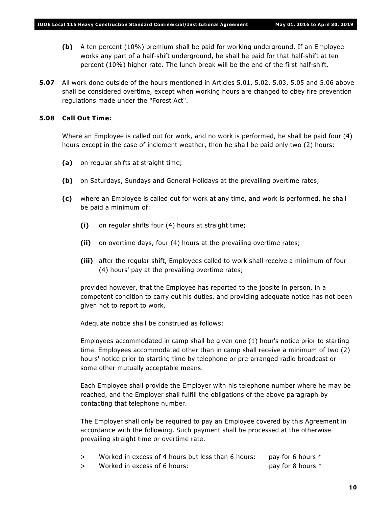- **(b)** A ten percent (10%) premium shall be paid for working underground. If an Employee works any part of a half-shift underground, he shall be paid for that half-shift at ten percent (10%) higher rate. The lunch break will be the end of the first half-shift.
- **5.07** All work done outside of the hours mentioned in Articles 5.01, 5.02, 5.03, 5.05 and 5.06 above shall be considered overtime, except when working hours are changed to obey fire prevention regulations made under the "Forest Act".

# **5.08 Call Out Time:**

Where an Employee is called out for work, and no work is performed, he shall be paid four (4) hours except in the case of inclement weather, then he shall be paid only two (2) hours:

- **(a)** on regular shifts at straight time;
- **(b)** on Saturdays, Sundays and General Holidays at the prevailing overtime rates;
- **(c)** where an Employee is called out for work at any time, and work is performed, he shall be paid a minimum of:
	- **(i)** on regular shifts four (4) hours at straight time;
	- **(ii)** on overtime days, four (4) hours at the prevailing overtime rates;
	- **(iii)** after the regular shift, Employees called to work shall receive a minimum of four (4) hours' pay at the prevailing overtime rates;

provided however, that the Employee has reported to the jobsite in person, in a competent condition to carry out his duties, and providing adequate notice has not been given not to report to work.

Adequate notice shall be construed as follows:

Employees accommodated in camp shall be given one (1) hour's notice prior to starting time. Employees accommodated other than in camp shall receive a minimum of two (2) hours' notice prior to starting time by telephone or pre-arranged radio broadcast or some other mutually acceptable means.

Each Employee shall provide the Employer with his telephone number where he may be reached, and the Employer shall fulfill the obligations of the above paragraph by contacting that telephone number.

The Employer shall only be required to pay an Employee covered by this Agreement in accordance with the following. Such payment shall be processed at the otherwise prevailing straight time or overtime rate.

- $>$  Worked in excess of 4 hours but less than 6 hours: pay for 6 hours  $*$
- > Worked in excess of 6 hours: pay for 8 hours \*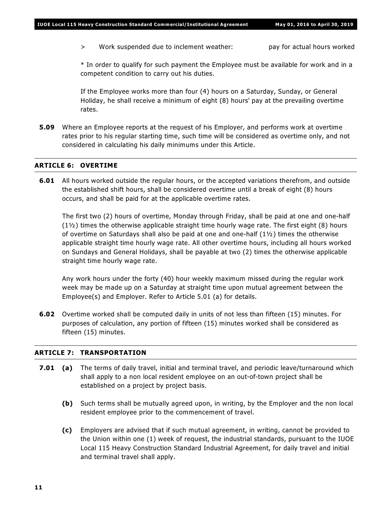> Work suspended due to inclement weather: pay for actual hours worked

\* In order to qualify for such payment the Employee must be available for work and in a competent condition to carry out his duties.

If the Employee works more than four (4) hours on a Saturday, Sunday, or General Holiday, he shall receive a minimum of eight (8) hours' pay at the prevailing overtime rates.

**5.09** Where an Employee reports at the request of his Employer, and performs work at overtime rates prior to his regular starting time, such time will be considered as overtime only, and not considered in calculating his daily minimums under this Article.

# **ARTICLE 6: OVERTIME**

**6.01** All hours worked outside the regular hours, or the accepted variations therefrom, and outside the established shift hours, shall be considered overtime until a break of eight (8) hours occurs, and shall be paid for at the applicable overtime rates.

The first two (2) hours of overtime, Monday through Friday, shall be paid at one and one-half  $(1\frac{1}{2})$  times the otherwise applicable straight time hourly wage rate. The first eight (8) hours of overtime on Saturdays shall also be paid at one and one-half  $(1\frac{1}{2})$  times the otherwise applicable straight time hourly wage rate. All other overtime hours, including all hours worked on Sundays and General Holidays, shall be payable at two (2) times the otherwise applicable straight time hourly wage rate.

Any work hours under the forty (40) hour weekly maximum missed during the regular work week may be made up on a Saturday at straight time upon mutual agreement between the Employee(s) and Employer. Refer to Article 5.01 (a) for details.

**6.02** Overtime worked shall be computed daily in units of not less than fifteen (15) minutes. For purposes of calculation, any portion of fifteen (15) minutes worked shall be considered as fifteen (15) minutes.

### **ARTICLE 7: TRANSPORTATION**

- **7.01 (a)** The terms of daily travel, initial and terminal travel, and periodic leave/turnaround which shall apply to a non local resident employee on an out-of-town project shall be established on a project by project basis.
	- **(b)** Such terms shall be mutually agreed upon, in writing, by the Employer and the non local resident employee prior to the commencement of travel.
	- **(c)** Employers are advised that if such mutual agreement, in writing, cannot be provided to the Union within one (1) week of request, the industrial standards, pursuant to the IUOE Local 115 Heavy Construction Standard Industrial Agreement, for daily travel and initial and terminal travel shall apply.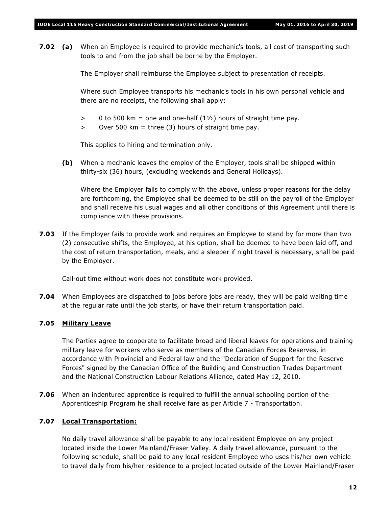**7.02 (a)** When an Employee is required to provide mechanic's tools, all cost of transporting such tools to and from the job shall be borne by the Employer.

The Employer shall reimburse the Employee subject to presentation of receipts.

Where such Employee transports his mechanic's tools in his own personal vehicle and there are no receipts, the following shall apply:

- $> 0$  to 500 km = one and one-half (1 $\frac{1}{2}$ ) hours of straight time pay.
- $>$  Over 500 km = three (3) hours of straight time pay.

This applies to hiring and termination only.

**(b)** When a mechanic leaves the employ of the Employer, tools shall be shipped within thirty-six (36) hours, (excluding weekends and General Holidays).

Where the Employer fails to comply with the above, unless proper reasons for the delay are forthcoming, the Employee shall be deemed to be still on the payroll of the Employer and shall receive his usual wages and all other conditions of this Agreement until there is compliance with these provisions.

**7.03** If the Employer fails to provide work and requires an Employee to stand by for more than two (2) consecutive shifts, the Employee, at his option, shall be deemed to have been laid off, and the cost of return transportation, meals, and a sleeper if night travel is necessary, shall be paid by the Employer.

Call-out time without work does not constitute work provided.

**7.04** When Employees are dispatched to jobs before jobs are ready, they will be paid waiting time at the regular rate until the job starts, or have their return transportation paid.

#### **7.05 Military Leave**

The Parties agree to cooperate to facilitate broad and liberal leaves for operations and training military leave for workers who serve as members of the Canadian Forces Reserves, in accordance with Provincial and Federal law and the "Declaration of Support for the Reserve Forces" signed by the Canadian Office of the Building and Construction Trades Department and the National Construction Labour Relations Alliance, dated May 12, 2010.

**7.06** When an indentured apprentice is required to fulfill the annual schooling portion of the Apprenticeship Program he shall receive fare as per Article 7 - Transportation.

# **7.07 Local Transportation:**

No daily travel allowance shall be payable to any local resident Employee on any project located inside the Lower Mainland/Fraser Valley. A daily travel allowance, pursuant to the following schedule, shall be paid to any local resident Employee who uses his/her own vehicle to travel daily from his/her residence to a project located outside of the Lower Mainland/Fraser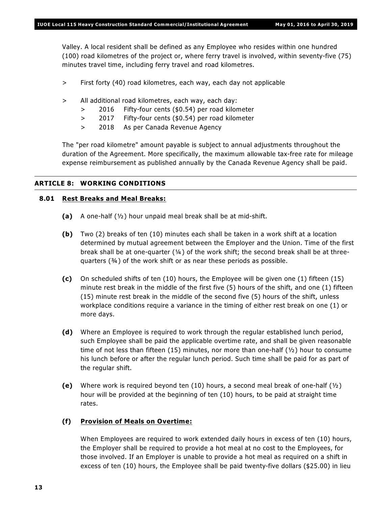Valley. A local resident shall be defined as any Employee who resides within one hundred (100) road kilometres of the project or, where ferry travel is involved, within seventy-five (75) minutes travel time, including ferry travel and road kilometres.

- > First forty (40) road kilometres, each way, each day not applicable
- > All additional road kilometres, each way, each day:
	- > 2016 Fifty-four cents (\$0.54) per road kilometer
	- > 2017 Fifty-four cents (\$0.54) per road kilometer
	- > 2018 As per Canada Revenue Agency

The "per road kilometre" amount payable is subject to annual adjustments throughout the duration of the Agreement. More specifically, the maximum allowable tax-free rate for mileage expense reimbursement as published annually by the Canada Revenue Agency shall be paid.

#### **ARTICLE 8: WORKING CONDITIONS**

#### **8.01 Rest Breaks and Meal Breaks:**

- **(a)** A one-half (½) hour unpaid meal break shall be at mid-shift.
- **(b)** Two (2) breaks of ten (10) minutes each shall be taken in a work shift at a location determined by mutual agreement between the Employer and the Union. Time of the first break shall be at one-quarter  $(4)$  of the work shift; the second break shall be at threequarters (¾) of the work shift or as near these periods as possible.
- **(c)** On scheduled shifts of ten (10) hours, the Employee will be given one (1) fifteen (15) minute rest break in the middle of the first five (5) hours of the shift, and one (1) fifteen (15) minute rest break in the middle of the second five (5) hours of the shift, unless workplace conditions require a variance in the timing of either rest break on one (1) or more days.
- **(d)** Where an Employee is required to work through the regular established lunch period, such Employee shall be paid the applicable overtime rate, and shall be given reasonable time of not less than fifteen (15) minutes, nor more than one-half ( $\frac{1}{2}$ ) hour to consume his lunch before or after the regular lunch period. Such time shall be paid for as part of the regular shift.
- **(e)** Where work is required beyond ten (10) hours, a second meal break of one-half (½) hour will be provided at the beginning of ten (10) hours, to be paid at straight time rates.

# **(f) Provision of Meals on Overtime:**

When Employees are required to work extended daily hours in excess of ten (10) hours, the Employer shall be required to provide a hot meal at no cost to the Employees, for those involved. If an Employer is unable to provide a hot meal as required on a shift in excess of ten (10) hours, the Employee shall be paid twenty-five dollars (\$25.00) in lieu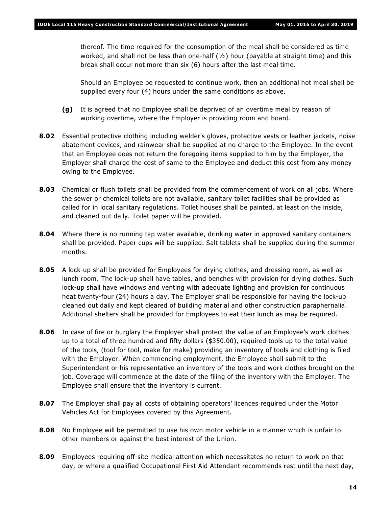thereof. The time required for the consumption of the meal shall be considered as time worked, and shall not be less than one-half  $(y_2)$  hour (payable at straight time) and this break shall occur not more than six (6) hours after the last meal time.

Should an Employee be requested to continue work, then an additional hot meal shall be supplied every four (4) hours under the same conditions as above.

- **(g)** It is agreed that no Employee shall be deprived of an overtime meal by reason of working overtime, where the Employer is providing room and board.
- **8.02** Essential protective clothing including welder's gloves, protective vests or leather jackets, noise abatement devices, and rainwear shall be supplied at no charge to the Employee. In the event that an Employee does not return the foregoing items supplied to him by the Employer, the Employer shall charge the cost of same to the Employee and deduct this cost from any money owing to the Employee.
- **8.03** Chemical or flush toilets shall be provided from the commencement of work on all jobs. Where the sewer or chemical toilets are not available, sanitary toilet facilities shall be provided as called for in local sanitary regulations. Toilet houses shall be painted, at least on the inside, and cleaned out daily. Toilet paper will be provided.
- **8.04** Where there is no running tap water available, drinking water in approved sanitary containers shall be provided. Paper cups will be supplied. Salt tablets shall be supplied during the summer months.
- **8.05** A lock-up shall be provided for Employees for drying clothes, and dressing room, as well as lunch room. The lock-up shall have tables, and benches with provision for drying clothes. Such lock-up shall have windows and venting with adequate lighting and provision for continuous heat twenty-four (24) hours a day. The Employer shall be responsible for having the lock-up cleaned out daily and kept cleared of building material and other construction paraphernalia. Additional shelters shall be provided for Employees to eat their lunch as may be required.
- **8.06** In case of fire or burglary the Employer shall protect the value of an Employee's work clothes up to a total of three hundred and fifty dollars (\$350.00), required tools up to the total value of the tools, (tool for tool, make for make) providing an inventory of tools and clothing is filed with the Employer. When commencing employment, the Employee shall submit to the Superintendent or his representative an inventory of the tools and work clothes brought on the job. Coverage will commence at the date of the filing of the inventory with the Employer. The Employee shall ensure that the inventory is current.
- **8.07** The Employer shall pay all costs of obtaining operators' licences required under the *Motor Vehicles Act* for Employees covered by this Agreement.
- **8.08** No Employee will be permitted to use his own motor vehicle in a manner which is unfair to other members or against the best interest of the Union.
- **8.09** Employees requiring off-site medical attention which necessitates no return to work on that day, or where a qualified Occupational First Aid Attendant recommends rest until the next day,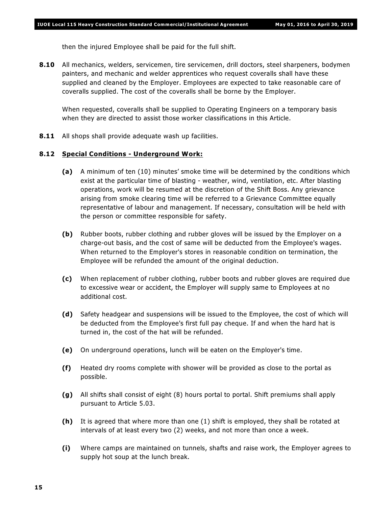then the injured Employee shall be paid for the full shift.

**8.10** All mechanics, welders, servicemen, tire servicemen, drill doctors, steel sharpeners, bodymen painters, and mechanic and welder apprentices who request coveralls shall have these supplied and cleaned by the Employer. Employees are expected to take reasonable care of coveralls supplied. The cost of the coveralls shall be borne by the Employer.

When requested, coveralls shall be supplied to Operating Engineers on a temporary basis when they are directed to assist those worker classifications in this Article.

**8.11** All shops shall provide adequate wash up facilities.

### **8.12 Special Conditions - Underground Work:**

- **(a)** A minimum of ten (10) minutes' smoke time will be determined by the conditions which exist at the particular time of blasting - weather, wind, ventilation, etc. After blasting operations, work will be resumed at the discretion of the Shift Boss. Any grievance arising from smoke clearing time will be referred to a Grievance Committee equally representative of labour and management. If necessary, consultation will be held with the person or committee responsible for safety.
- **(b)** Rubber boots, rubber clothing and rubber gloves will be issued by the Employer on a charge-out basis, and the cost of same will be deducted from the Employee's wages. When returned to the Employer's stores in reasonable condition on termination, the Employee will be refunded the amount of the original deduction.
- **(c)** When replacement of rubber clothing, rubber boots and rubber gloves are required due to excessive wear or accident, the Employer will supply same to Employees at no additional cost.
- **(d)** Safety headgear and suspensions will be issued to the Employee, the cost of which will be deducted from the Employee's first full pay cheque. If and when the hard hat is turned in, the cost of the hat will be refunded.
- **(e)** On underground operations, lunch will be eaten on the Employer's time.
- **(f)** Heated dry rooms complete with shower will be provided as close to the portal as possible.
- **(g)** All shifts shall consist of eight (8) hours portal to portal. Shift premiums shall apply pursuant to Article 5.03.
- **(h)** It is agreed that where more than one (1) shift is employed, they shall be rotated at intervals of at least every two (2) weeks, and not more than once a week.
- **(i)** Where camps are maintained on tunnels, shafts and raise work, the Employer agrees to supply hot soup at the lunch break.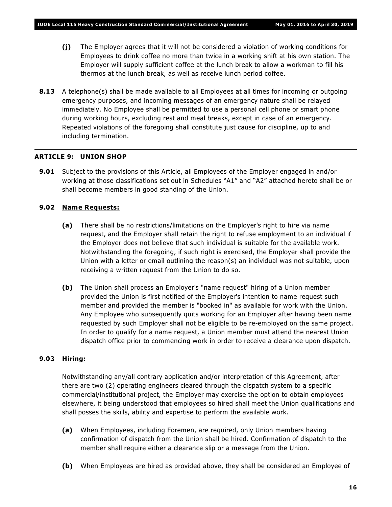- **(j)** The Employer agrees that it will not be considered a violation of working conditions for Employees to drink coffee no more than twice in a working shift at his own station. The Employer will supply sufficient coffee at the lunch break to allow a workman to fill his thermos at the lunch break, as well as receive lunch period coffee.
- **8.13** A telephone(s) shall be made available to all Employees at all times for incoming or outgoing emergency purposes, and incoming messages of an emergency nature shall be relayed immediately. No Employee shall be permitted to use a personal cell phone or smart phone during working hours, excluding rest and meal breaks, except in case of an emergency. Repeated violations of the foregoing shall constitute just cause for discipline, up to and including termination.

# **ARTICLE 9: UNION SHOP**

**9.01** Subject to the provisions of this Article, all Employees of the Employer engaged in and/or working at those classifications set out in Schedules "A1" and "A2" attached hereto shall be or shall become members in good standing of the Union.

# **9.02 Name Requests:**

- **(a)** There shall be no restrictions/limitations on the Employer's right to hire via name request, and the Employer shall retain the right to refuse employment to an individual if the Employer does not believe that such individual is suitable for the available work. Notwithstanding the foregoing, if such right is exercised, the Employer shall provide the Union with a letter or email outlining the reason(s) an individual was not suitable, upon receiving a written request from the Union to do so.
- **(b)** The Union shall process an Employer's "name request" hiring of a Union member provided the Union is first notified of the Employer's intention to name request such member and provided the member is "booked in" as available for work with the Union. Any Employee who subsequently quits working for an Employer after having been name requested by such Employer shall not be eligible to be re-employed on the same project. In order to qualify for a name request, a Union member must attend the nearest Union dispatch office prior to commencing work in order to receive a clearance upon dispatch.

# **9.03 Hiring:**

Notwithstanding any/all contrary application and/or interpretation of this Agreement, after there are two (2) operating engineers cleared through the dispatch system to a specific commercial/institutional project, the Employer may exercise the option to obtain employees elsewhere, it being understood that employees so hired shall meet the Union qualifications and shall posses the skills, ability and expertise to perform the available work.

- **(a)** When Employees, including Foremen, are required, only Union members having confirmation of dispatch from the Union shall be hired. Confirmation of dispatch to the member shall require either a clearance slip or a message from the Union.
- **(b)** When Employees are hired as provided above, they shall be considered an Employee of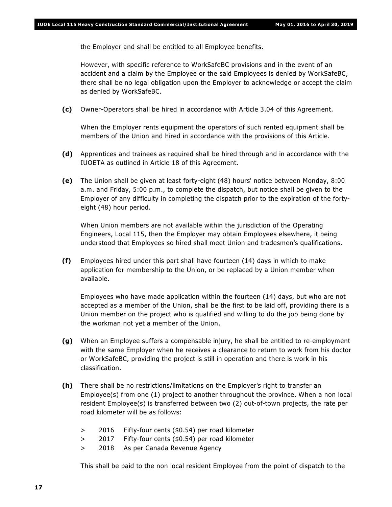the Employer and shall be entitled to all Employee benefits.

However, with specific reference to WorkSafeBC provisions and in the event of an accident and a claim by the Employee or the said Employees is denied by WorkSafeBC, there shall be no legal obligation upon the Employer to acknowledge or accept the claim as denied by WorkSafeBC.

**(c)** Owner-Operators shall be hired in accordance with Article 3.04 of this Agreement.

When the Employer rents equipment the operators of such rented equipment shall be members of the Union and hired in accordance with the provisions of this Article.

- **(d)** Apprentices and trainees as required shall be hired through and in accordance with the IUOETA as outlined in Article 18 of this Agreement.
- **(e)** The Union shall be given at least forty-eight (48) hours' notice between Monday, 8:00 a.m. and Friday, 5:00 p.m., to complete the dispatch, but notice shall be given to the Employer of any difficulty in completing the dispatch prior to the expiration of the fortyeight (48) hour period.

When Union members are not available within the jurisdiction of the Operating Engineers, Local 115, then the Employer may obtain Employees elsewhere, it being understood that Employees so hired shall meet Union and tradesmen's qualifications.

**(f)** Employees hired under this part shall have fourteen (14) days in which to make application for membership to the Union, or be replaced by a Union member when available.

Employees who have made application within the fourteen (14) days, but who are not accepted as a member of the Union, shall be the first to be laid off, providing there is a Union member on the project who is qualified and willing to do the job being done by the workman not yet a member of the Union.

- **(g)** When an Employee suffers a compensable injury, he shall be entitled to re-employment with the same Employer when he receives a clearance to return to work from his doctor or WorkSafeBC, providing the project is still in operation and there is work in his classification.
- **(h)** There shall be no restrictions/limitations on the Employer's right to transfer an Employee(s) from one (1) project to another throughout the province. When a non local resident Employee(s) is transferred between two (2) out-of-town projects, the rate per road kilometer will be as follows:
	- > 2016 Fifty-four cents (\$0.54) per road kilometer
	- > 2017 Fifty-four cents (\$0.54) per road kilometer
	- > 2018 As per Canada Revenue Agency

This shall be paid to the non local resident Employee from the point of dispatch to the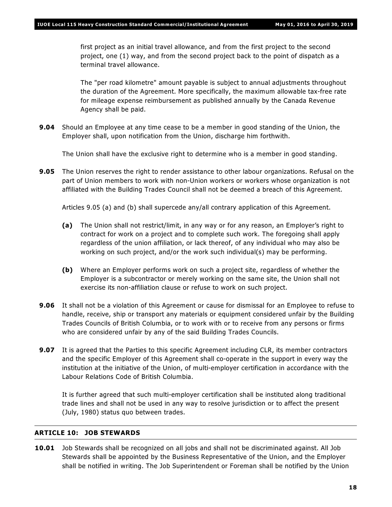first project as an initial travel allowance, and from the first project to the second project, one (1) way, and from the second project back to the point of dispatch as a terminal travel allowance.

The "per road kilometre" amount payable is subject to annual adjustments throughout the duration of the Agreement. More specifically, the maximum allowable tax-free rate for mileage expense reimbursement as published annually by the Canada Revenue Agency shall be paid.

**9.04** Should an Employee at any time cease to be a member in good standing of the Union, the Employer shall, upon notification from the Union, discharge him forthwith.

The Union shall have the exclusive right to determine who is a member in good standing.

**9.05** The Union reserves the right to render assistance to other labour organizations. Refusal on the part of Union members to work with non-Union workers or workers whose organization is not affiliated with the Building Trades Council shall not be deemed a breach of this Agreement.

Articles 9.05 (a) and (b) shall supercede any/all contrary application of this Agreement.

- **(a)** The Union shall not restrict/limit, in any way or for any reason, an Employer's right to contract for work on a project and to complete such work. The foregoing shall apply regardless of the union affiliation, or lack thereof, of any individual who may also be working on such project, and/or the work such individual(s) may be performing.
- **(b)** Where an Employer performs work on such a project site, regardless of whether the Employer is a subcontractor or merely working on the same site, the Union shall not exercise its non-affiliation clause or refuse to work on such project.
- **9.06** It shall not be a violation of this Agreement or cause for dismissal for an Employee to refuse to handle, receive, ship or transport any materials or equipment considered unfair by the Building Trades Councils of British Columbia, or to work with or to receive from any persons or firms who are considered unfair by any of the said Building Trades Councils.
- **9.07** It is agreed that the Parties to this specific Agreement including CLR, its member contractors and the specific Employer of this Agreement shall co-operate in the support in every way the institution at the initiative of the Union, of multi-employer certification in accordance with the *Labour Relations Code* of British Columbia.

It is further agreed that such multi-employer certification shall be instituted along traditional trade lines and shall not be used in any way to resolve jurisdiction or to affect the present (July, 1980) status quo between trades.

# **ARTICLE 10: JOB STEWARDS**

**10.01** Job Stewards shall be recognized on all jobs and shall not be discriminated against. All Job Stewards shall be appointed by the Business Representative of the Union, and the Employer shall be notified in writing. The Job Superintendent or Foreman shall be notified by the Union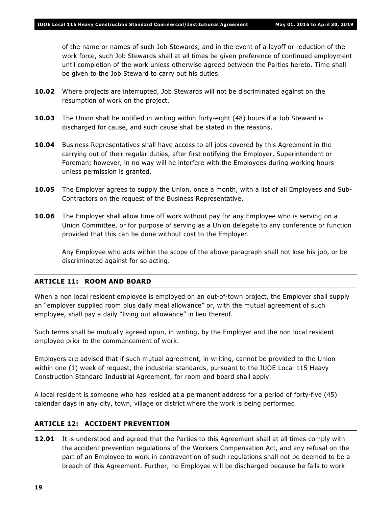of the name or names of such Job Stewards, and in the event of a layoff or reduction of the work force, such Job Stewards shall at all times be given preference of continued employment until completion of the work unless otherwise agreed between the Parties hereto. Time shall be given to the Job Steward to carry out his duties.

- **10.02** Where projects are interrupted, Job Stewards will not be discriminated against on the resumption of work on the project.
- **10.03** The Union shall be notified in writing within forty-eight (48) hours if a Job Steward is discharged for cause, and such cause shall be stated in the reasons.
- **10.04** Business Representatives shall have access to all jobs covered by this Agreement in the carrying out of their regular duties, after first notifying the Employer, Superintendent or Foreman; however, in no way will he interfere with the Employees during working hours unless permission is granted.
- **10.05** The Employer agrees to supply the Union, once a month, with a list of all Employees and Sub-Contractors on the request of the Business Representative.
- **10.06** The Employer shall allow time off work without pay for any Employee who is serving on a Union Committee, or for purpose of serving as a Union delegate to any conference or function provided that this can be done without cost to the Employer.

Any Employee who acts within the scope of the above paragraph shall not lose his job, or be discriminated against for so acting.

# **ARTICLE 11: ROOM AND BOARD**

When a non local resident employee is employed on an out-of-town project, the Employer shall supply an "employer supplied room plus daily meal allowance" or, with the mutual agreement of such employee, shall pay a daily "living out allowance" in lieu thereof.

Such terms shall be mutually agreed upon, in writing, by the Employer and the non local resident employee prior to the commencement of work.

Employers are advised that if such mutual agreement, in writing, cannot be provided to the Union within one (1) week of request, the industrial standards, pursuant to the IUOE Local 115 Heavy Construction Standard Industrial Agreement, for room and board shall apply.

A local resident is someone who has resided at a permanent address for a period of forty-five (45) calendar days in any city, town, village or district where the work is being performed.

#### **ARTICLE 12: ACCIDENT PREVENTION**

**12.01** It is understood and agreed that the Parties to this Agreement shall at all times comply with the accident prevention regulations of the *Workers Compensation Act*, and any refusal on the part of an Employee to work in contravention of such regulations shall not be deemed to be a breach of this Agreement. Further, no Employee will be discharged because he fails to work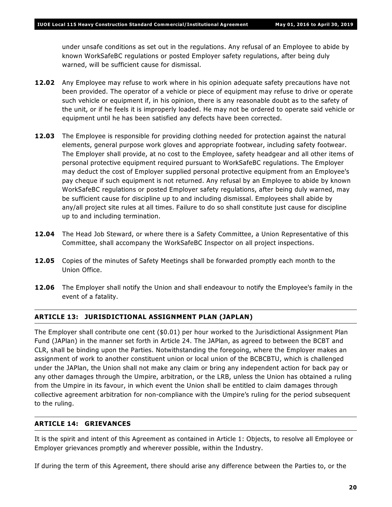under unsafe conditions as set out in the regulations. Any refusal of an Employee to abide by known WorkSafeBC regulations or posted Employer safety regulations, after being duly warned, will be sufficient cause for dismissal.

- **12.02** Any Employee may refuse to work where in his opinion adequate safety precautions have not been provided. The operator of a vehicle or piece of equipment may refuse to drive or operate such vehicle or equipment if, in his opinion, there is any reasonable doubt as to the safety of the unit, or if he feels it is improperly loaded. He may not be ordered to operate said vehicle or equipment until he has been satisfied any defects have been corrected.
- **12.03** The Employee is responsible for providing clothing needed for protection against the natural elements, general purpose work gloves and appropriate footwear, including safety footwear. The Employer shall provide, at no cost to the Employee, safety headgear and all other items of personal protective equipment required pursuant to WorkSafeBC regulations. The Employer may deduct the cost of Employer supplied personal protective equipment from an Employee's pay cheque if such equipment is not returned. Any refusal by an Employee to abide by known WorkSafeBC regulations or posted Employer safety regulations, after being duly warned, may be sufficient cause for discipline up to and including dismissal. Employees shall abide by any/all project site rules at all times. Failure to do so shall constitute just cause for discipline up to and including termination.
- **12.04** The Head Job Steward, or where there is a Safety Committee, a Union Representative of this Committee, shall accompany the WorkSafeBC Inspector on all project inspections.
- **12.05** Copies of the minutes of Safety Meetings shall be forwarded promptly each month to the Union Office.
- **12.06** The Employer shall notify the Union and shall endeavour to notify the Employee's family in the event of a fatality.

# **ARTICLE 13: JURISDICTIONAL ASSIGNMENT PLAN (JAPLAN)**

The Employer shall contribute one cent (\$0.01) per hour worked to the Jurisdictional Assignment Plan Fund (JAPlan) in the manner set forth in Article 24. The JAPlan, as agreed to between the BCBT and CLR, shall be binding upon the Parties. Notwithstanding the foregoing, where the Employer makes an assignment of work to another constituent union or local union of the BCBCBTU, which is challenged under the JAPlan, the Union shall not make any claim or bring any independent action for back pay or any other damages through the Umpire, arbitration, or the LRB, unless the Union has obtained a ruling from the Umpire in its favour, in which event the Union shall be entitled to claim damages through collective agreement arbitration for non-compliance with the Umpire's ruling for the period subsequent to the ruling.

#### **ARTICLE 14: GRIEVANCES**

It is the spirit and intent of this Agreement as contained in Article 1: Objects, to resolve all Employee or Employer grievances promptly and wherever possible, within the Industry.

If during the term of this Agreement, there should arise any difference between the Parties to, or the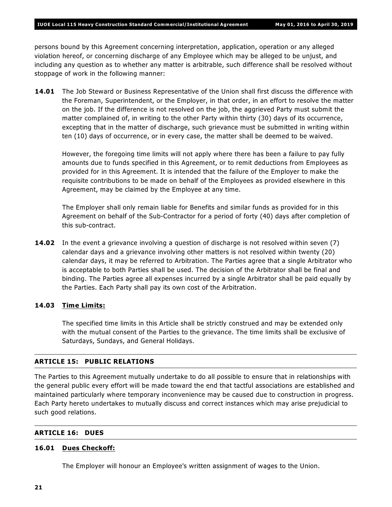persons bound by this Agreement concerning interpretation, application, operation or any alleged violation hereof, or concerning discharge of any Employee which may be alleged to be unjust, and including any question as to whether any matter is arbitrable, such difference shall be resolved without stoppage of work in the following manner:

**14.01** The Job Steward or Business Representative of the Union shall first discuss the difference with the Foreman, Superintendent, or the Employer, in that order, in an effort to resolve the matter on the job. If the difference is not resolved on the job, the aggrieved Party must submit the matter complained of, in writing to the other Party within thirty (30) days of its occurrence, excepting that in the matter of discharge, such grievance must be submitted in writing within ten (10) days of occurrence, or in every case, the matter shall be deemed to be waived.

However, the foregoing time limits will not apply where there has been a failure to pay fully amounts due to funds specified in this Agreement, or to remit deductions from Employees as provided for in this Agreement. It is intended that the failure of the Employer to make the requisite contributions to be made on behalf of the Employees as provided elsewhere in this Agreement, may be claimed by the Employee at any time.

The Employer shall only remain liable for Benefits and similar funds as provided for in this Agreement on behalf of the Sub-Contractor for a period of forty (40) days after completion of this sub-contract.

**14.02** In the event a grievance involving a question of discharge is not resolved within seven (7) calendar days and a grievance involving other matters is not resolved within twenty (20) calendar days, it may be referred to Arbitration. The Parties agree that a single Arbitrator who is acceptable to both Parties shall be used. The decision of the Arbitrator shall be final and binding. The Parties agree all expenses incurred by a single Arbitrator shall be paid equally by the Parties. Each Party shall pay its own cost of the Arbitration.

#### **14.03 Time Limits:**

The specified time limits in this Article shall be strictly construed and may be extended only with the mutual consent of the Parties to the grievance. The time limits shall be exclusive of Saturdays, Sundays, and General Holidays.

# **ARTICLE 15: PUBLIC RELATIONS**

The Parties to this Agreement mutually undertake to do all possible to ensure that in relationships with the general public every effort will be made toward the end that tactful associations are established and maintained particularly where temporary inconvenience may be caused due to construction in progress. Each Party hereto undertakes to mutually discuss and correct instances which may arise prejudicial to such good relations.

#### **ARTICLE 16: DUES**

#### **16.01 Dues Checkoff:**

The Employer will honour an Employee's written assignment of wages to the Union.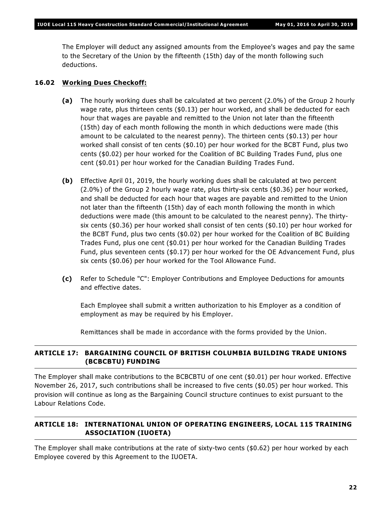The Employer will deduct any assigned amounts from the Employee's wages and pay the same to the Secretary of the Union by the fifteenth (15th) day of the month following such deductions.

# **16.02 Working Dues Checkoff:**

- **(a)** The hourly working dues shall be calculated at two percent (2.0%) of the Group 2 hourly wage rate, plus thirteen cents (\$0.13) per hour worked, and shall be deducted for each hour that wages are payable and remitted to the Union not later than the fifteenth (15th) day of each month following the month in which deductions were made (this amount to be calculated to the nearest penny). The thirteen cents (\$0.13) per hour worked shall consist of ten cents (\$0.10) per hour worked for the BCBT Fund, plus two cents (\$0.02) per hour worked for the Coalition of BC Building Trades Fund, plus one cent (\$0.01) per hour worked for the Canadian Building Trades Fund.
- **(b)** Effective April 01, 2019, the hourly working dues shall be calculated at two percent (2.0%) of the Group 2 hourly wage rate, plus thirty-six cents (\$0.36) per hour worked, and shall be deducted for each hour that wages are payable and remitted to the Union not later than the fifteenth (15th) day of each month following the month in which deductions were made (this amount to be calculated to the nearest penny). The thirtysix cents (\$0.36) per hour worked shall consist of ten cents (\$0.10) per hour worked for the BCBT Fund, plus two cents (\$0.02) per hour worked for the Coalition of BC Building Trades Fund, plus one cent (\$0.01) per hour worked for the Canadian Building Trades Fund, plus seventeen cents (\$0.17) per hour worked for the OE Advancement Fund, plus six cents (\$0.06) per hour worked for the Tool Allowance Fund.
- **(c)** Refer to Schedule "C": Employer Contributions and Employee Deductions for amounts and effective dates.

Each Employee shall submit a written authorization to his Employer as a condition of employment as may be required by his Employer.

Remittances shall be made in accordance with the forms provided by the Union.

# **ARTICLE 17: BARGAINING COUNCIL OF BRITISH COLUMBIA BUILDING TRADE UNIONS (BCBCBTU) FUNDING**

The Employer shall make contributions to the BCBCBTU of one cent (\$0.01) per hour worked. Effective November 26, 2017, such contributions shall be increased to five cents (\$0.05) per hour worked. This provision will continue as long as the Bargaining Council structure continues to exist pursuant to the *Labour Relations Code*.

# **ARTICLE 18: INTERNATIONAL UNION OF OPERATING ENGINEERS, LOCAL 115 TRAINING ASSOCIATION (IUOETA)**

The Employer shall make contributions at the rate of sixty-two cents (\$0.62) per hour worked by each Employee covered by this Agreement to the IUOETA.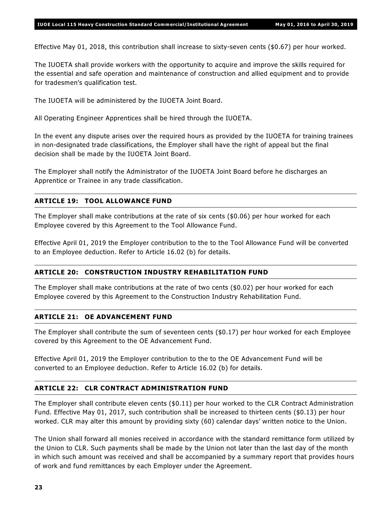Effective May 01, 2018, this contribution shall increase to sixty-seven cents (\$0.67) per hour worked.

The IUOETA shall provide workers with the opportunity to acquire and improve the skills required for the essential and safe operation and maintenance of construction and allied equipment and to provide for tradesmen's qualification test.

The IUOETA will be administered by the IUOETA Joint Board.

All Operating Engineer Apprentices shall be hired through the IUOETA.

In the event any dispute arises over the required hours as provided by the IUOETA for training trainees in non-designated trade classifications, the Employer shall have the right of appeal but the final decision shall be made by the IUOETA Joint Board.

The Employer shall notify the Administrator of the IUOETA Joint Board before he discharges an Apprentice or Trainee in any trade classification.

# **ARTICLE 19: TOOL ALLOWANCE FUND**

The Employer shall make contributions at the rate of six cents (\$0.06) per hour worked for each Employee covered by this Agreement to the Tool Allowance Fund.

Effective April 01, 2019 the Employer contribution to the to the Tool Allowance Fund will be converted to an Employee deduction. Refer to Article 16.02 (b) for details.

#### **ARTICLE 20: CONSTRUCTION INDUSTRY REHABILITATION FUND**

The Employer shall make contributions at the rate of two cents (\$0.02) per hour worked for each Employee covered by this Agreement to the Construction Industry Rehabilitation Fund.

# **ARTICLE 21: OE ADVANCEMENT FUND**

The Employer shall contribute the sum of seventeen cents (\$0.17) per hour worked for each Employee covered by this Agreement to the OE Advancement Fund.

Effective April 01, 2019 the Employer contribution to the to the OE Advancement Fund will be converted to an Employee deduction. Refer to Article 16.02 (b) for details.

#### **ARTICLE 22: CLR CONTRACT ADMINISTRATION FUND**

The Employer shall contribute eleven cents (\$0.11) per hour worked to the CLR Contract Administration Fund. Effective May 01, 2017, such contribution shall be increased to thirteen cents (\$0.13) per hour worked. CLR may alter this amount by providing sixty (60) calendar days' written notice to the Union.

The Union shall forward all monies received in accordance with the standard remittance form utilized by the Union to CLR. Such payments shall be made by the Union not later than the last day of the month in which such amount was received and shall be accompanied by a summary report that provides hours of work and fund remittances by each Employer under the Agreement.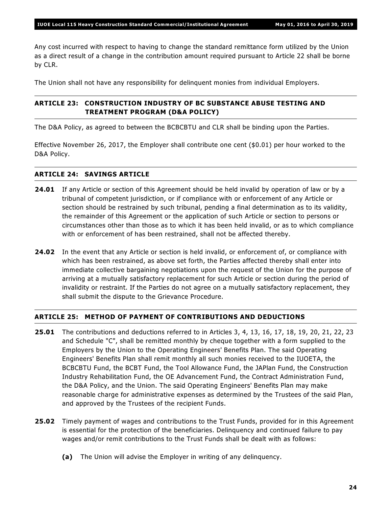Any cost incurred with respect to having to change the standard remittance form utilized by the Union as a direct result of a change in the contribution amount required pursuant to Article 22 shall be borne by CLR.

The Union shall not have any responsibility for delinquent monies from individual Employers.

# **ARTICLE 23: CONSTRUCTION INDUSTRY OF BC SUBSTANCE ABUSE TESTING AND TREATMENT PROGRAM (D&A POLICY)**

The D&A Policy, as agreed to between the BCBCBTU and CLR shall be binding upon the Parties.

Effective November 26, 2017, the Employer shall contribute one cent (\$0.01) per hour worked to the D&A Policy.

# **ARTICLE 24: SAVINGS ARTICLE**

- **24.01** If any Article or section of this Agreement should be held invalid by operation of law or by a tribunal of competent jurisdiction, or if compliance with or enforcement of any Article or section should be restrained by such tribunal, pending a final determination as to its validity, the remainder of this Agreement or the application of such Article or section to persons or circumstances other than those as to which it has been held invalid, or as to which compliance with or enforcement of has been restrained, shall not be affected thereby.
- **24.02** In the event that any Article or section is held invalid, or enforcement of, or compliance with which has been restrained, as above set forth, the Parties affected thereby shall enter into immediate collective bargaining negotiations upon the request of the Union for the purpose of arriving at a mutually satisfactory replacement for such Article or section during the period of invalidity or restraint. If the Parties do not agree on a mutually satisfactory replacement, they shall submit the dispute to the Grievance Procedure.

# **ARTICLE 25: METHOD OF PAYMENT OF CONTRIBUTIONS AND DEDUCTIONS**

- **25.01** The contributions and deductions referred to in Articles 3, 4, 13, 16, 17, 18, 19, 20, 21, 22, 23 and Schedule "C", shall be remitted monthly by cheque together with a form supplied to the Employers by the Union to the Operating Engineers' Benefits Plan. The said Operating Engineers' Benefits Plan shall remit monthly all such monies received to the IUOETA, the BCBCBTU Fund, the BCBT Fund, the Tool Allowance Fund, the JAPlan Fund, the Construction Industry Rehabilitation Fund, the OE Advancement Fund, the Contract Administration Fund, the D&A Policy, and the Union. The said Operating Engineers' Benefits Plan may make reasonable charge for administrative expenses as determined by the Trustees of the said Plan, and approved by the Trustees of the recipient Funds.
- **25.02** Timely payment of wages and contributions to the Trust Funds, provided for in this Agreement is essential for the protection of the beneficiaries. Delinquency and continued failure to pay wages and/or remit contributions to the Trust Funds shall be dealt with as follows:
	- **(a)** The Union will advise the Employer in writing of any delinquency.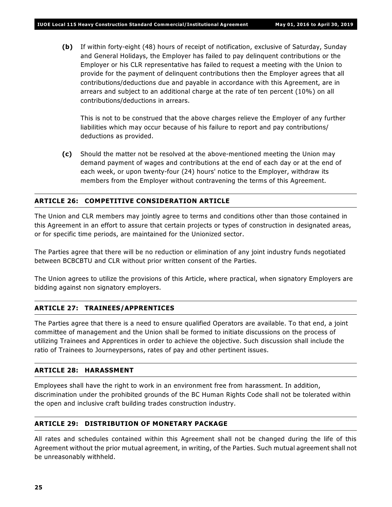**(b)** If within forty-eight (48) hours of receipt of notification, exclusive of Saturday, Sunday and General Holidays, the Employer has failed to pay delinquent contributions or the Employer or his CLR representative has failed to request a meeting with the Union to provide for the payment of delinquent contributions then the Employer agrees that all contributions/deductions due and payable in accordance with this Agreement, are in arrears and subject to an additional charge at the rate of ten percent (10%) on all contributions/deductions in arrears.

This is not to be construed that the above charges relieve the Employer of any further liabilities which may occur because of his failure to report and pay contributions/ deductions as provided.

**(c)** Should the matter not be resolved at the above-mentioned meeting the Union may demand payment of wages and contributions at the end of each day or at the end of each week, or upon twenty-four (24) hours' notice to the Employer, withdraw its members from the Employer without contravening the terms of this Agreement.

# **ARTICLE 26: COMPETITIVE CONSIDERATION ARTICLE**

The Union and CLR members may jointly agree to terms and conditions other than those contained in this Agreement in an effort to assure that certain projects or types of construction in designated areas, or for specific time periods, are maintained for the Unionized sector.

The Parties agree that there will be no reduction or elimination of any joint industry funds negotiated between BCBCBTU and CLR without prior written consent of the Parties.

The Union agrees to utilize the provisions of this Article, where practical, when signatory Employers are bidding against non signatory employers.

# **ARTICLE 27: TRAINEES/APPRENTICES**

The Parties agree that there is a need to ensure qualified Operators are available. To that end, a joint committee of management and the Union shall be formed to initiate discussions on the process of utilizing Trainees and Apprentices in order to achieve the objective. Such discussion shall include the ratio of Trainees to Journeypersons, rates of pay and other pertinent issues.

# **ARTICLE 28: HARASSMENT**

Employees shall have the right to work in an environment free from harassment. In addition, discrimination under the prohibited grounds of the *BC Human Rights Code* shall not be tolerated within the open and inclusive craft building trades construction industry.

# **ARTICLE 29: DISTRIBUTION OF MONETARY PACKAGE**

All rates and schedules contained within this Agreement shall not be changed during the life of this Agreement without the prior mutual agreement, in writing, of the Parties. Such mutual agreement shall not be unreasonably withheld.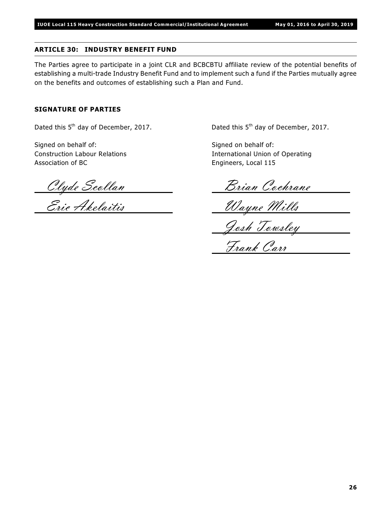# **ARTICLE 30: INDUSTRY BENEFIT FUND**

The Parties agree to participate in a joint CLR and BCBCBTU affiliate review of the potential benefits of establishing a multi-trade Industry Benefit Fund and to implement such a fund if the Parties mutually agree on the benefits and outcomes of establishing such a Plan and Fund.

# **SIGNATURE OF PARTIES**

Dated this  $5<sup>th</sup>$  day of December, 2017.  $Dated this 5<sup>th</sup> day of December, 2017.$ 

Signed on behalf of: Signed on behalf of: Association of BC **Engineers**, Local 115

Construction Labour Relations International Union of Operating

Clyde Scollan <u>Dian Cochrane</u>

Eric Akelaitis Wayne Mills

Josh Towsley

Frank Carr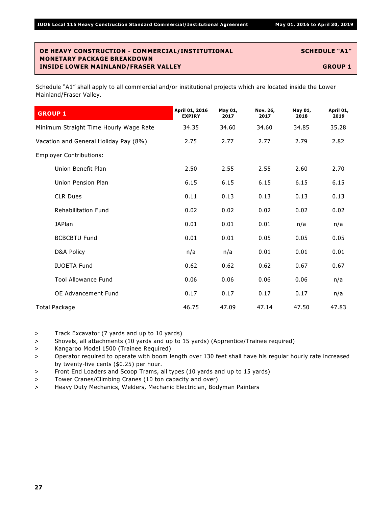Schedule "A1" shall apply to all commercial and/or institutional projects which are located inside the Lower Mainland/Fraser Valley.

| <b>GROUP 1</b>                         | April 01, 2016<br><b>EXPIRY</b> | May 01,<br>2017 | Nov. 26,<br>2017 | May 01,<br>2018 | April 01,<br>2019 |
|----------------------------------------|---------------------------------|-----------------|------------------|-----------------|-------------------|
| Minimum Straight Time Hourly Wage Rate | 34.35                           | 34.60           | 34.60            | 34.85           | 35.28             |
| Vacation and General Holiday Pay (8%)  | 2.75                            | 2.77            | 2.77             | 2.79            | 2.82              |
| <b>Employer Contributions:</b>         |                                 |                 |                  |                 |                   |
| Union Benefit Plan                     | 2.50                            | 2.55            | 2.55             | 2.60            | 2.70              |
| Union Pension Plan                     | 6.15                            | 6.15            | 6.15             | 6.15            | 6.15              |
| <b>CLR Dues</b>                        | 0.11                            | 0.13            | 0.13             | 0.13            | 0.13              |
| <b>Rehabilitation Fund</b>             | 0.02                            | 0.02            | 0.02             | 0.02            | 0.02              |
| <b>JAPlan</b>                          | 0.01                            | 0.01            | 0.01             | n/a             | n/a               |
| <b>BCBCBTU Fund</b>                    | 0.01                            | 0.01            | 0.05             | 0.05            | 0.05              |
| D&A Policy                             | n/a                             | n/a             | 0.01             | 0.01            | 0.01              |
| <b>IUOETA Fund</b>                     | 0.62                            | 0.62            | 0.62             | 0.67            | 0.67              |
| <b>Tool Allowance Fund</b>             | 0.06                            | 0.06            | 0.06             | 0.06            | n/a               |
| OE Advancement Fund                    | 0.17                            | 0.17            | 0.17             | 0.17            | n/a               |
| Total Package                          | 46.75                           | 47.09           | 47.14            | 47.50           | 47.83             |

> Track Excavator (7 yards and up to 10 yards)

> Shovels, all attachments (10 yards and up to 15 yards) (Apprentice/Trainee required)

> Kangaroo Model 1500 (Trainee Required)

> Operator required to operate with boom length over 130 feet shall have his regular hourly rate increased by twenty-five cents (\$0.25) per hour.

> Front End Loaders and Scoop Trams, all types (10 yards and up to 15 yards)

> Tower Cranes/Climbing Cranes (10 ton capacity and over)

> Heavy Duty Mechanics, Welders, Mechanic Electrician, Bodyman Painters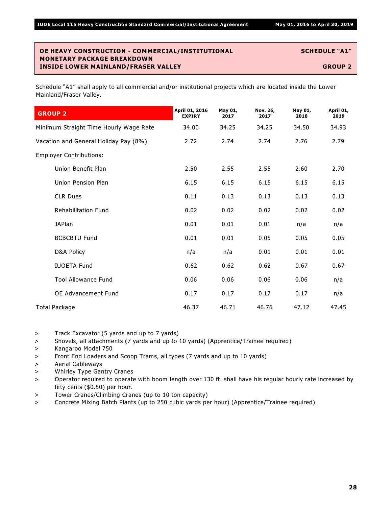| <b>GROUP 2</b>                         | April 01, 2016<br><b>EXPIRY</b> | May 01,<br>2017 | Nov. 26,<br>2017 | May 01,<br>2018 | April 01,<br>2019 |
|----------------------------------------|---------------------------------|-----------------|------------------|-----------------|-------------------|
| Minimum Straight Time Hourly Wage Rate | 34.00                           | 34.25           | 34.25            | 34.50           | 34.93             |
| Vacation and General Holiday Pay (8%)  | 2.72                            | 2.74            | 2.74             | 2.76            | 2.79              |
| <b>Employer Contributions:</b>         |                                 |                 |                  |                 |                   |
| Union Benefit Plan                     | 2.50                            | 2.55            | 2.55             | 2.60            | 2.70              |
| Union Pension Plan                     | 6.15                            | 6.15            | 6.15             | 6.15            | 6.15              |
| <b>CLR Dues</b>                        | 0.11                            | 0.13            | 0.13             | 0.13            | 0.13              |
| <b>Rehabilitation Fund</b>             | 0.02                            | 0.02            | 0.02             | 0.02            | 0.02              |
| <b>JAPlan</b>                          | 0.01                            | 0.01            | 0.01             | n/a             | n/a               |
| <b>BCBCBTU Fund</b>                    | 0.01                            | 0.01            | 0.05             | 0.05            | 0.05              |
| D&A Policy                             | n/a                             | n/a             | 0.01             | 0.01            | 0.01              |
| <b>IUOETA Fund</b>                     | 0.62                            | 0.62            | 0.62             | 0.67            | 0.67              |
| <b>Tool Allowance Fund</b>             | 0.06                            | 0.06            | 0.06             | 0.06            | n/a               |
| <b>OE Advancement Fund</b>             | 0.17                            | 0.17            | 0.17             | 0.17            | n/a               |
| <b>Total Package</b>                   | 46.37                           | 46.71           | 46.76            | 47.12           | 47.45             |

- > Track Excavator (5 yards and up to 7 yards)
- > Shovels, all attachments (7 yards and up to 10 yards) (Apprentice/Trainee required)
- > Kangaroo Model 750
- > Front End Loaders and Scoop Trams, all types (7 yards and up to 10 yards)
- > Aerial Cableways
- > Whirley Type Gantry Cranes
- > Operator required to operate with boom length over 130 ft. shall have his regular hourly rate increased by fifty cents (\$0.50) per hour.
- > Tower Cranes/Climbing Cranes (up to 10 ton capacity)
- > Concrete Mixing Batch Plants (up to 250 cubic yards per hour) (Apprentice/Trainee required)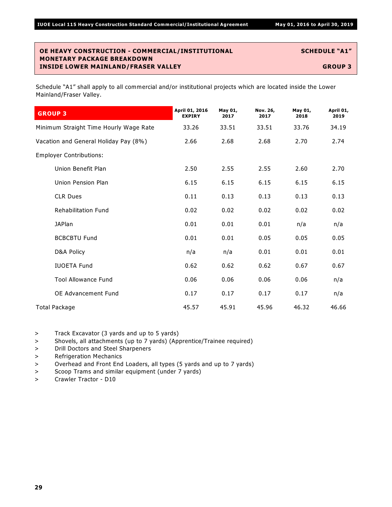Schedule "A1" shall apply to all commercial and/or institutional projects which are located inside the Lower Mainland/Fraser Valley.

| <b>GROUP 3</b>                         | April 01, 2016<br><b>EXPIRY</b> | May 01,<br>2017 | Nov. 26,<br>2017 | May 01,<br>2018 | April 01,<br>2019 |
|----------------------------------------|---------------------------------|-----------------|------------------|-----------------|-------------------|
| Minimum Straight Time Hourly Wage Rate | 33.26                           | 33.51           | 33.51            | 33.76           | 34.19             |
| Vacation and General Holiday Pay (8%)  | 2.66                            | 2.68            | 2.68             | 2.70            | 2.74              |
| <b>Employer Contributions:</b>         |                                 |                 |                  |                 |                   |
| Union Benefit Plan                     | 2.50                            | 2.55            | 2.55             | 2.60            | 2.70              |
| Union Pension Plan                     | 6.15                            | 6.15            | 6.15             | 6.15            | 6.15              |
| <b>CLR Dues</b>                        | 0.11                            | 0.13            | 0.13             | 0.13            | 0.13              |
| <b>Rehabilitation Fund</b>             | 0.02                            | 0.02            | 0.02             | 0.02            | 0.02              |
| <b>JAPlan</b>                          | 0.01                            | 0.01            | 0.01             | n/a             | n/a               |
| <b>BCBCBTU Fund</b>                    | 0.01                            | 0.01            | 0.05             | 0.05            | 0.05              |
| D&A Policy                             | n/a                             | n/a             | 0.01             | 0.01            | 0.01              |
| <b>IUOETA Fund</b>                     | 0.62                            | 0.62            | 0.62             | 0.67            | 0.67              |
| <b>Tool Allowance Fund</b>             | 0.06                            | 0.06            | 0.06             | 0.06            | n/a               |
| <b>OE Advancement Fund</b>             | 0.17                            | 0.17            | 0.17             | 0.17            | n/a               |
| Total Package                          | 45.57                           | 45.91           | 45.96            | 46.32           | 46.66             |

> Track Excavator (3 yards and up to 5 yards)

> Shovels, all attachments (up to 7 yards) (Apprentice/Trainee required)

> Drill Doctors and Steel Sharpeners

> Refrigeration Mechanics

> Overhead and Front End Loaders, all types (5 yards and up to 7 yards)

> Scoop Trams and similar equipment (under 7 yards)

> Crawler Tractor - D10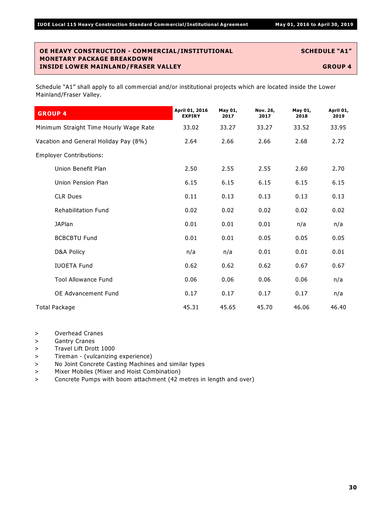| <b>GROUP 4</b>                         | April 01, 2016<br><b>EXPIRY</b> | May 01,<br>2017 | Nov. 26,<br>2017 | May 01,<br>2018 | April 01,<br>2019 |
|----------------------------------------|---------------------------------|-----------------|------------------|-----------------|-------------------|
| Minimum Straight Time Hourly Wage Rate | 33.02                           | 33.27           | 33.27            | 33.52           | 33.95             |
| Vacation and General Holiday Pay (8%)  | 2.64                            | 2.66            | 2.66             | 2.68            | 2.72              |
| <b>Employer Contributions:</b>         |                                 |                 |                  |                 |                   |
| Union Benefit Plan                     | 2.50                            | 2.55            | 2.55             | 2.60            | 2.70              |
| Union Pension Plan                     | 6.15                            | 6.15            | 6.15             | 6.15            | 6.15              |
| <b>CLR Dues</b>                        | 0.11                            | 0.13            | 0.13             | 0.13            | 0.13              |
| <b>Rehabilitation Fund</b>             | 0.02                            | 0.02            | 0.02             | 0.02            | 0.02              |
| <b>JAPlan</b>                          | 0.01                            | 0.01            | 0.01             | n/a             | n/a               |
| <b>BCBCBTU Fund</b>                    | 0.01                            | 0.01            | 0.05             | 0.05            | 0.05              |
| D&A Policy                             | n/a                             | n/a             | 0.01             | 0.01            | 0.01              |
| <b>IUOETA Fund</b>                     | 0.62                            | 0.62            | 0.62             | 0.67            | 0.67              |
| <b>Tool Allowance Fund</b>             | 0.06                            | 0.06            | 0.06             | 0.06            | n/a               |
| <b>OE Advancement Fund</b>             | 0.17                            | 0.17            | 0.17             | 0.17            | n/a               |
| Total Package                          | 45.31                           | 45.65           | 45.70            | 46.06           | 46.40             |

- > Overhead Cranes
- > Gantry Cranes
- > Travel Lift Drott 1000
- > Tireman (vulcanizing experience)
- > No Joint Concrete Casting Machines and similar types
- > Mixer Mobiles (Mixer and Hoist Combination)
- > Concrete Pumps with boom attachment (42 metres in length and over)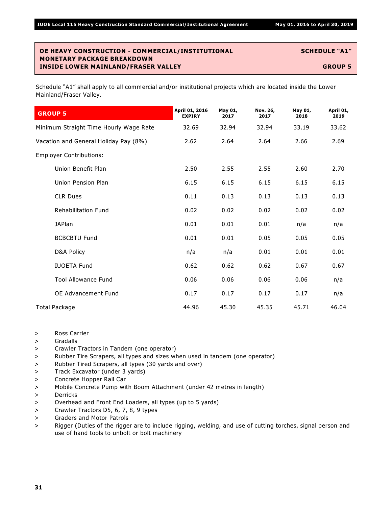| <b>GROUP 5</b>                         | April 01, 2016<br><b>EXPIRY</b> | May 01,<br>2017 | Nov. 26,<br>2017 | May 01,<br>2018 | April 01,<br>2019 |
|----------------------------------------|---------------------------------|-----------------|------------------|-----------------|-------------------|
| Minimum Straight Time Hourly Wage Rate | 32.69                           | 32.94           | 32.94            | 33.19           | 33.62             |
| Vacation and General Holiday Pay (8%)  | 2.62                            | 2.64            | 2.64             | 2.66            | 2.69              |
| <b>Employer Contributions:</b>         |                                 |                 |                  |                 |                   |
| Union Benefit Plan                     | 2.50                            | 2.55            | 2.55             | 2.60            | 2.70              |
| Union Pension Plan                     | 6.15                            | 6.15            | 6.15             | 6.15            | 6.15              |
| <b>CLR Dues</b>                        | 0.11                            | 0.13            | 0.13             | 0.13            | 0.13              |
| <b>Rehabilitation Fund</b>             | 0.02                            | 0.02            | 0.02             | 0.02            | 0.02              |
| <b>JAPlan</b>                          | 0.01                            | 0.01            | 0.01             | n/a             | n/a               |
| <b>BCBCBTU Fund</b>                    | 0.01                            | 0.01            | 0.05             | 0.05            | 0.05              |
| D&A Policy                             | n/a                             | n/a             | 0.01             | 0.01            | 0.01              |
| <b>IUOETA Fund</b>                     | 0.62                            | 0.62            | 0.62             | 0.67            | 0.67              |
| <b>Tool Allowance Fund</b>             | 0.06                            | 0.06            | 0.06             | 0.06            | n/a               |
| <b>OE Advancement Fund</b>             | 0.17                            | 0.17            | 0.17             | 0.17            | n/a               |
| Total Package                          | 44.96                           | 45.30           | 45.35            | 45.71           | 46.04             |

- > Ross Carrier
- > Gradalls
- > Crawler Tractors in Tandem (one operator)
- > Rubber Tire Scrapers, all types and sizes when used in tandem (one operator)
- > Rubber Tired Scrapers, all types (30 yards and over)
- > Track Excavator (under 3 yards)
- > Concrete Hopper Rail Car
- > Mobile Concrete Pump with Boom Attachment (under 42 metres in length)
- > Derricks
- > Overhead and Front End Loaders, all types (up to 5 yards)
- > Crawler Tractors D5, 6, 7, 8, 9 types
- > Graders and Motor Patrols
- > Rigger (Duties of the rigger are to include rigging, welding, and use of cutting torches, signal person and use of hand tools to unbolt or bolt machinery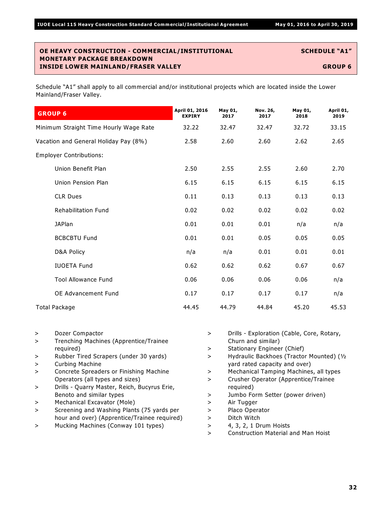| <b>GROUP 6</b>                         | April 01, 2016<br><b>EXPIRY</b> | May 01,<br>2017 | Nov. 26,<br>2017 | May 01,<br>2018 | April 01,<br>2019 |
|----------------------------------------|---------------------------------|-----------------|------------------|-----------------|-------------------|
| Minimum Straight Time Hourly Wage Rate | 32.22                           | 32.47           | 32.47            | 32.72           | 33.15             |
| Vacation and General Holiday Pay (8%)  | 2.58                            | 2.60            | 2.60             | 2.62            | 2.65              |
| <b>Employer Contributions:</b>         |                                 |                 |                  |                 |                   |
| Union Benefit Plan                     | 2.50                            | 2.55            | 2.55             | 2.60            | 2.70              |
| Union Pension Plan                     | 6.15                            | 6.15            | 6.15             | 6.15            | 6.15              |
| <b>CLR Dues</b>                        | 0.11                            | 0.13            | 0.13             | 0.13            | 0.13              |
| <b>Rehabilitation Fund</b>             | 0.02                            | 0.02            | 0.02             | 0.02            | 0.02              |
| <b>JAPlan</b>                          | 0.01                            | 0.01            | 0.01             | n/a             | n/a               |
| <b>BCBCBTU Fund</b>                    | 0.01                            | 0.01            | 0.05             | 0.05            | 0.05              |
| D&A Policy                             | n/a                             | n/a             | 0.01             | 0.01            | 0.01              |
| <b>IUOETA Fund</b>                     | 0.62                            | 0.62            | 0.62             | 0.67            | 0.67              |
| <b>Tool Allowance Fund</b>             | 0.06                            | 0.06            | 0.06             | 0.06            | n/a               |
| <b>OE Advancement Fund</b>             | 0.17                            | 0.17            | 0.17             | 0.17            | n/a               |
| <b>Total Package</b>                   | 44.45                           | 44.79           | 44.84            | 45.20           | 45.53             |

- > Dozer Compactor
- > Trenching Machines (Apprentice/Trainee required)
- > Rubber Tired Scrapers (under 30 yards)
- > Curbing Machine
- > Concrete Spreaders or Finishing Machine Operators (all types and sizes)
- > Drills Quarry Master, Reich, Bucyrus Erie, Benoto and similar types
- > Mechanical Excavator (Mole)
- > Screening and Washing Plants (75 yards per hour and over) (Apprentice/Trainee required)
- > Mucking Machines (Conway 101 types)
- > Drills Exploration (Cable, Core, Rotary, Churn and similar)
- > Stationary Engineer (Chief)
- > Hydraulic Backhoes (Tractor Mounted) (½ yard rated capacity and over)
- > Mechanical Tamping Machines, all types
- > Crusher Operator (Apprentice/Trainee required)
- > Jumbo Form Setter (power driven)
- > Air Tugger
- > Placo Operator
- > Ditch Witch
- > 4, 3, 2, 1 Drum Hoists
- > Construction Material and Man Hoist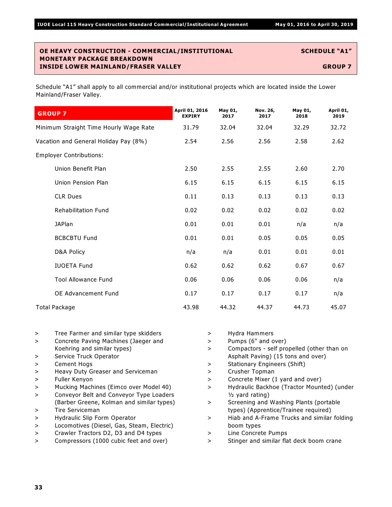| <b>GROUP 7</b>                         | April 01, 2016<br><b>EXPIRY</b> | May 01,<br>2017 | Nov. 26,<br>2017 | May 01,<br>2018 | April 01,<br>2019 |
|----------------------------------------|---------------------------------|-----------------|------------------|-----------------|-------------------|
| Minimum Straight Time Hourly Wage Rate | 31.79                           | 32.04           | 32.04            | 32.29           | 32.72             |
| Vacation and General Holiday Pay (8%)  | 2.54                            | 2.56            | 2.56             | 2.58            | 2.62              |
| <b>Employer Contributions:</b>         |                                 |                 |                  |                 |                   |
| Union Benefit Plan                     | 2.50                            | 2.55            | 2.55             | 2.60            | 2.70              |
| Union Pension Plan                     | 6.15                            | 6.15            | 6.15             | 6.15            | 6.15              |
| <b>CLR Dues</b>                        | 0.11                            | 0.13            | 0.13             | 0.13            | 0.13              |
| <b>Rehabilitation Fund</b>             | 0.02                            | 0.02            | 0.02             | 0.02            | 0.02              |
| <b>JAPlan</b>                          | 0.01                            | 0.01            | 0.01             | n/a             | n/a               |
| <b>BCBCBTU Fund</b>                    | 0.01                            | 0.01            | 0.05             | 0.05            | 0.05              |
| D&A Policy                             | n/a                             | n/a             | 0.01             | 0.01            | 0.01              |
| <b>IUOETA Fund</b>                     | 0.62                            | 0.62            | 0.62             | 0.67            | 0.67              |
| <b>Tool Allowance Fund</b>             | 0.06                            | 0.06            | 0.06             | 0.06            | n/a               |
| <b>OE Advancement Fund</b>             | 0.17                            | 0.17            | 0.17             | 0.17            | n/a               |
| Total Package                          | 43.98                           | 44.32           | 44.37            | 44.73           | 45.07             |

- > Tree Farmer and similar type skidders
- > Concrete Paving Machines (Jaeger and Koehring and similar types)
- > Service Truck Operator
- > Cement Hogs
- > Heavy Duty Greaser and Serviceman
- > Fuller Kenyon
- > Mucking Machines (Eimco over Model 40)
- > Conveyor Belt and Conveyor Type Loaders (Barber Greene, Kolman and similar types)
- > Tire Serviceman
- > Hydraulic Slip Form Operator
- > Locomotives (Diesel, Gas, Steam, Electric)
- > Crawler Tractors D2, D3 and D4 types
- > Compressors (1000 cubic feet and over)
- > Hydra Hammers > Pumps (6" and over) > Compactors - self propelled (other than on Asphalt Paving) (15 tons and over) > Stationary Engineers (Shift) > Crusher Topman > Concrete Mixer (1 yard and over) > Hydraulic Backhoe (Tractor Mounted) (under  $1/2$  yard rating) > Screening and Washing Plants (portable types) (Apprentice/Trainee required) > Hiab and A-Frame Trucks and similar folding boom types
- > Line Concrete Pumps
- > Stinger and similar flat deck boom crane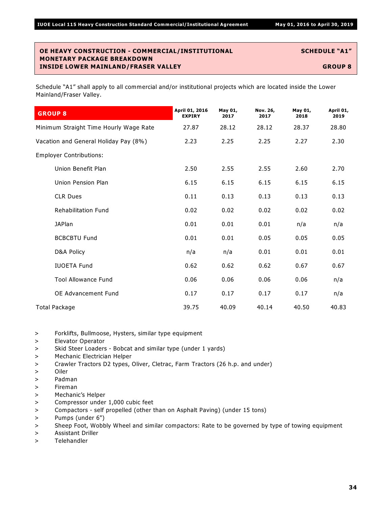| <b>GROUP 8</b>                         | April 01, 2016<br><b>EXPIRY</b> | May 01,<br>2017 | Nov. 26,<br>2017 | May 01,<br>2018 | April 01,<br>2019 |
|----------------------------------------|---------------------------------|-----------------|------------------|-----------------|-------------------|
| Minimum Straight Time Hourly Wage Rate | 27.87                           | 28.12           | 28.12            | 28.37           | 28.80             |
| Vacation and General Holiday Pay (8%)  | 2.23                            | 2.25            | 2.25             | 2.27            | 2.30              |
| <b>Employer Contributions:</b>         |                                 |                 |                  |                 |                   |
| Union Benefit Plan                     | 2.50                            | 2.55            | 2.55             | 2.60            | 2.70              |
| Union Pension Plan                     | 6.15                            | 6.15            | 6.15             | 6.15            | 6.15              |
| <b>CLR Dues</b>                        | 0.11                            | 0.13            | 0.13             | 0.13            | 0.13              |
| <b>Rehabilitation Fund</b>             | 0.02                            | 0.02            | 0.02             | 0.02            | 0.02              |
| <b>JAPlan</b>                          | 0.01                            | 0.01            | 0.01             | n/a             | n/a               |
| <b>BCBCBTU Fund</b>                    | 0.01                            | 0.01            | 0.05             | 0.05            | 0.05              |
| D&A Policy                             | n/a                             | n/a             | 0.01             | 0.01            | 0.01              |
| <b>IUOETA Fund</b>                     | 0.62                            | 0.62            | 0.62             | 0.67            | 0.67              |
| <b>Tool Allowance Fund</b>             | 0.06                            | 0.06            | 0.06             | 0.06            | n/a               |
| OE Advancement Fund                    | 0.17                            | 0.17            | 0.17             | 0.17            | n/a               |
| Total Package                          | 39.75                           | 40.09           | 40.14            | 40.50           | 40.83             |

- > Forklifts, Bullmoose, Hysters, similar type equipment
- > Elevator Operator
- > Skid Steer Loaders Bobcat and similar type (under 1 yards)
- > Mechanic Electrician Helper
- > Crawler Tractors D2 types, Oliver, Cletrac, Farm Tractors (26 h.p. and under)
- > Oiler
- > Padman
- > Fireman
- > Mechanic's Helper
- > Compressor under 1,000 cubic feet
- > Compactors self propelled (other than on Asphalt Paving) (under 15 tons)
- > Pumps (under 6")
- > Sheep Foot, Wobbly Wheel and similar compactors: Rate to be governed by type of towing equipment
- > Assistant Driller
- > Telehandler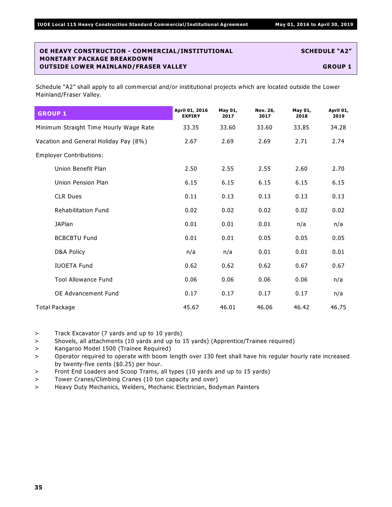Schedule "A2" shall apply to all commercial and/or institutional projects which are located outside the Lower Mainland/Fraser Valley.

| <b>GROUP 1</b>                         | April 01, 2016<br><b>EXPIRY</b> | May 01,<br>2017 | Nov. 26,<br>2017 | May 01,<br>2018 | April 01,<br>2019 |
|----------------------------------------|---------------------------------|-----------------|------------------|-----------------|-------------------|
| Minimum Straight Time Hourly Wage Rate | 33.35                           | 33.60           | 33.60            | 33.85           | 34.28             |
| Vacation and General Holiday Pay (8%)  | 2.67                            | 2.69            | 2.69             | 2.71            | 2.74              |
| <b>Employer Contributions:</b>         |                                 |                 |                  |                 |                   |
| Union Benefit Plan                     | 2.50                            | 2.55            | 2.55             | 2.60            | 2.70              |
| Union Pension Plan                     | 6.15                            | 6.15            | 6.15             | 6.15            | 6.15              |
| <b>CLR Dues</b>                        | 0.11                            | 0.13            | 0.13             | 0.13            | 0.13              |
| <b>Rehabilitation Fund</b>             | 0.02                            | 0.02            | 0.02             | 0.02            | 0.02              |
| <b>JAPlan</b>                          | 0.01                            | 0.01            | 0.01             | n/a             | n/a               |
| <b>BCBCBTU Fund</b>                    | 0.01                            | 0.01            | 0.05             | 0.05            | 0.05              |
| D&A Policy                             | n/a                             | n/a             | 0.01             | 0.01            | 0.01              |
| <b>IUOETA Fund</b>                     | 0.62                            | 0.62            | 0.62             | 0.67            | 0.67              |
| <b>Tool Allowance Fund</b>             | 0.06                            | 0.06            | 0.06             | 0.06            | n/a               |
| OE Advancement Fund                    | 0.17                            | 0.17            | 0.17             | 0.17            | n/a               |
| Total Package                          | 45.67                           | 46.01           | 46.06            | 46.42           | 46.75             |

> Track Excavator (7 yards and up to 10 yards)

> Shovels, all attachments (10 yards and up to 15 yards) (Apprentice/Trainee required)

> Kangaroo Model 1500 (Trainee Required)

> Operator required to operate with boom length over 130 feet shall have his regular hourly rate increased by twenty-five cents (\$0.25) per hour.

> Front End Loaders and Scoop Trams, all types (10 yards and up to 15 yards)

> Tower Cranes/Climbing Cranes (10 ton capacity and over)

> Heavy Duty Mechanics, Welders, Mechanic Electrician, Bodyman Painters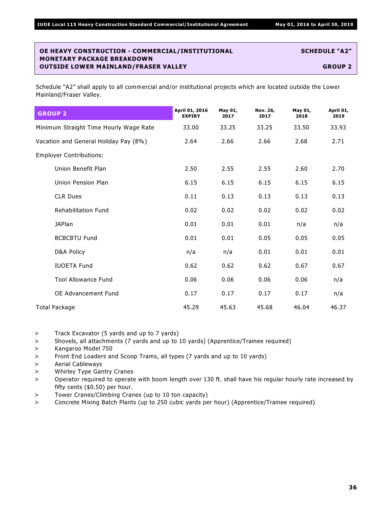| <b>GROUP 2</b>                         | April 01, 2016<br><b>EXPIRY</b> | May 01,<br>2017 | Nov. 26,<br>2017 | May 01,<br>2018 | April 01,<br>2019 |
|----------------------------------------|---------------------------------|-----------------|------------------|-----------------|-------------------|
| Minimum Straight Time Hourly Wage Rate | 33.00                           | 33.25           | 33.25            | 33.50           | 33.93             |
| Vacation and General Holiday Pay (8%)  | 2.64                            | 2.66            | 2.66             | 2.68            | 2.71              |
| <b>Employer Contributions:</b>         |                                 |                 |                  |                 |                   |
| Union Benefit Plan                     | 2.50                            | 2.55            | 2.55             | 2.60            | 2.70              |
| Union Pension Plan                     | 6.15                            | 6.15            | 6.15             | 6.15            | 6.15              |
| <b>CLR Dues</b>                        | 0.11                            | 0.13            | 0.13             | 0.13            | 0.13              |
| <b>Rehabilitation Fund</b>             | 0.02                            | 0.02            | 0.02             | 0.02            | 0.02              |
| <b>JAPlan</b>                          | 0.01                            | 0.01            | 0.01             | n/a             | n/a               |
| <b>BCBCBTU Fund</b>                    | 0.01                            | 0.01            | 0.05             | 0.05            | 0.05              |
| D&A Policy                             | n/a                             | n/a             | 0.01             | 0.01            | 0.01              |
| <b>IUOETA Fund</b>                     | 0.62                            | 0.62            | 0.62             | 0.67            | 0.67              |
| <b>Tool Allowance Fund</b>             | 0.06                            | 0.06            | 0.06             | 0.06            | n/a               |
| OE Advancement Fund                    | 0.17                            | 0.17            | 0.17             | 0.17            | n/a               |
| Total Package                          | 45.29                           | 45.63           | 45.68            | 46.04           | 46.37             |

- > Track Excavator (5 yards and up to 7 yards)
- > Shovels, all attachments (7 yards and up to 10 yards) (Apprentice/Trainee required)
- > Kangaroo Model 750
- > Front End Loaders and Scoop Trams, all types (7 yards and up to 10 yards)
- > Aerial Cableways
- > Whirley Type Gantry Cranes
- > Operator required to operate with boom length over 130 ft. shall have his regular hourly rate increased by fifty cents (\$0.50) per hour.
- > Tower Cranes/Climbing Cranes (up to 10 ton capacity)
- > Concrete Mixing Batch Plants (up to 250 cubic yards per hour) (Apprentice/Trainee required)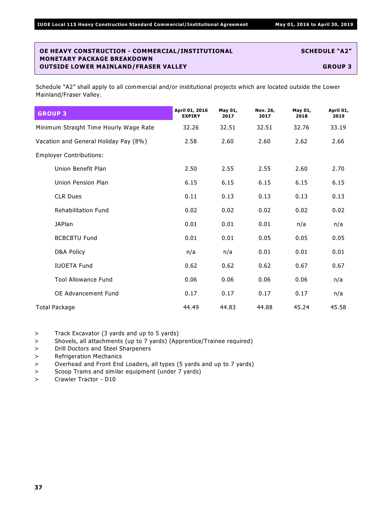Schedule "A2" shall apply to all commercial and/or institutional projects which are located outside the Lower Mainland/Fraser Valley.

| <b>GROUP 3</b>                         | April 01, 2016<br><b>EXPIRY</b> | May 01,<br>2017 | Nov. 26,<br>2017 | May 01,<br>2018 | April 01,<br>2019 |
|----------------------------------------|---------------------------------|-----------------|------------------|-----------------|-------------------|
| Minimum Straight Time Hourly Wage Rate | 32.26                           | 32.51           | 32.51            | 32.76           | 33.19             |
| Vacation and General Holiday Pay (8%)  | 2.58                            | 2.60            | 2.60             | 2.62            | 2.66              |
| <b>Employer Contributions:</b>         |                                 |                 |                  |                 |                   |
| Union Benefit Plan                     | 2.50                            | 2.55            | 2.55             | 2.60            | 2.70              |
| Union Pension Plan                     | 6.15                            | 6.15            | 6.15             | 6.15            | 6.15              |
| <b>CLR Dues</b>                        | 0.11                            | 0.13            | 0.13             | 0.13            | 0.13              |
| <b>Rehabilitation Fund</b>             | 0.02                            | 0.02            | 0.02             | 0.02            | 0.02              |
| <b>JAPlan</b>                          | 0.01                            | 0.01            | 0.01             | n/a             | n/a               |
| <b>BCBCBTU Fund</b>                    | 0.01                            | 0.01            | 0.05             | 0.05            | 0.05              |
| D&A Policy                             | n/a                             | n/a             | 0.01             | 0.01            | 0.01              |
| <b>IUOETA Fund</b>                     | 0.62                            | 0.62            | 0.62             | 0.67            | 0.67              |
| <b>Tool Allowance Fund</b>             | 0.06                            | 0.06            | 0.06             | 0.06            | n/a               |
| OE Advancement Fund                    | 0.17                            | 0.17            | 0.17             | 0.17            | n/a               |
| Total Package                          | 44.49                           | 44.83           | 44.88            | 45.24           | 45.58             |

> Track Excavator (3 yards and up to 5 yards)

> Shovels, all attachments (up to 7 yards) (Apprentice/Trainee required)

> Drill Doctors and Steel Sharpeners

> Refrigeration Mechanics

> Overhead and Front End Loaders, all types (5 yards and up to 7 yards)

> Scoop Trams and similar equipment (under 7 yards)

> Crawler Tractor - D10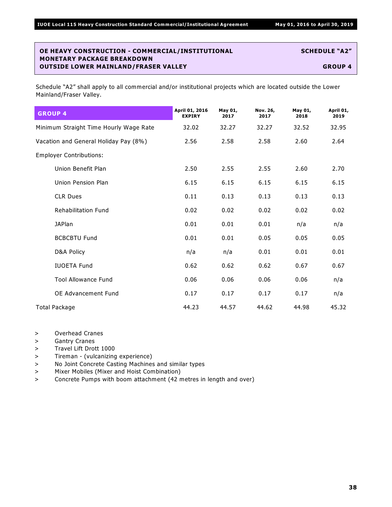| <b>GROUP 4</b>                         | April 01, 2016<br><b>EXPIRY</b> | May 01,<br>2017 | Nov. 26,<br>2017 | May 01,<br>2018 | April 01,<br>2019 |
|----------------------------------------|---------------------------------|-----------------|------------------|-----------------|-------------------|
| Minimum Straight Time Hourly Wage Rate | 32.02                           | 32.27           | 32.27            | 32.52           | 32.95             |
| Vacation and General Holiday Pay (8%)  | 2.56                            | 2.58            | 2.58             | 2.60            | 2.64              |
| <b>Employer Contributions:</b>         |                                 |                 |                  |                 |                   |
| Union Benefit Plan                     | 2.50                            | 2.55            | 2.55             | 2.60            | 2.70              |
| Union Pension Plan                     | 6.15                            | 6.15            | 6.15             | 6.15            | 6.15              |
| <b>CLR Dues</b>                        | 0.11                            | 0.13            | 0.13             | 0.13            | 0.13              |
| <b>Rehabilitation Fund</b>             | 0.02                            | 0.02            | 0.02             | 0.02            | 0.02              |
| <b>JAPlan</b>                          | 0.01                            | 0.01            | 0.01             | n/a             | n/a               |
| <b>BCBCBTU Fund</b>                    | 0.01                            | 0.01            | 0.05             | 0.05            | 0.05              |
| D&A Policy                             | n/a                             | n/a             | 0.01             | 0.01            | 0.01              |
| <b>IUOETA Fund</b>                     | 0.62                            | 0.62            | 0.62             | 0.67            | 0.67              |
| <b>Tool Allowance Fund</b>             | 0.06                            | 0.06            | 0.06             | 0.06            | n/a               |
| OE Advancement Fund                    | 0.17                            | 0.17            | 0.17             | 0.17            | n/a               |
| Total Package                          | 44.23                           | 44.57           | 44.62            | 44.98           | 45.32             |

- > Overhead Cranes
- > Gantry Cranes
- > Travel Lift Drott 1000
- > Tireman (vulcanizing experience)
- > No Joint Concrete Casting Machines and similar types
- > Mixer Mobiles (Mixer and Hoist Combination)
- > Concrete Pumps with boom attachment (42 metres in length and over)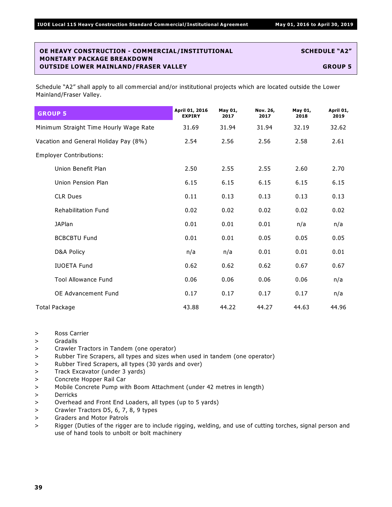| <b>GROUP 5</b>                         | April 01, 2016<br><b>EXPIRY</b> | May 01,<br>2017 | Nov. 26,<br>2017 | May 01,<br>2018 | April 01,<br>2019 |
|----------------------------------------|---------------------------------|-----------------|------------------|-----------------|-------------------|
| Minimum Straight Time Hourly Wage Rate | 31.69                           | 31.94           | 31.94            | 32.19           | 32.62             |
| Vacation and General Holiday Pay (8%)  | 2.54                            | 2.56            | 2.56             | 2.58            | 2.61              |
| <b>Employer Contributions:</b>         |                                 |                 |                  |                 |                   |
| Union Benefit Plan                     | 2.50                            | 2.55            | 2.55             | 2.60            | 2.70              |
| Union Pension Plan                     | 6.15                            | 6.15            | 6.15             | 6.15            | 6.15              |
| <b>CLR Dues</b>                        | 0.11                            | 0.13            | 0.13             | 0.13            | 0.13              |
| <b>Rehabilitation Fund</b>             | 0.02                            | 0.02            | 0.02             | 0.02            | 0.02              |
| <b>JAPlan</b>                          | 0.01                            | 0.01            | 0.01             | n/a             | n/a               |
| <b>BCBCBTU Fund</b>                    | 0.01                            | 0.01            | 0.05             | 0.05            | 0.05              |
| D&A Policy                             | n/a                             | n/a             | 0.01             | 0.01            | 0.01              |
| <b>IUOETA Fund</b>                     | 0.62                            | 0.62            | 0.62             | 0.67            | 0.67              |
| <b>Tool Allowance Fund</b>             | 0.06                            | 0.06            | 0.06             | 0.06            | n/a               |
| <b>OE Advancement Fund</b>             | 0.17                            | 0.17            | 0.17             | 0.17            | n/a               |
| <b>Total Package</b>                   | 43.88                           | 44.22           | 44.27            | 44.63           | 44.96             |

- > Ross Carrier
- > Gradalls
- > Crawler Tractors in Tandem (one operator)
- > Rubber Tire Scrapers, all types and sizes when used in tandem (one operator)
- > Rubber Tired Scrapers, all types (30 yards and over)
- > Track Excavator (under 3 yards)
- > Concrete Hopper Rail Car
- > Mobile Concrete Pump with Boom Attachment (under 42 metres in length)
- > Derricks
- > Overhead and Front End Loaders, all types (up to 5 yards)
- > Crawler Tractors D5, 6, 7, 8, 9 types
- > Graders and Motor Patrols
- > Rigger (Duties of the rigger are to include rigging, welding, and use of cutting torches, signal person and use of hand tools to unbolt or bolt machinery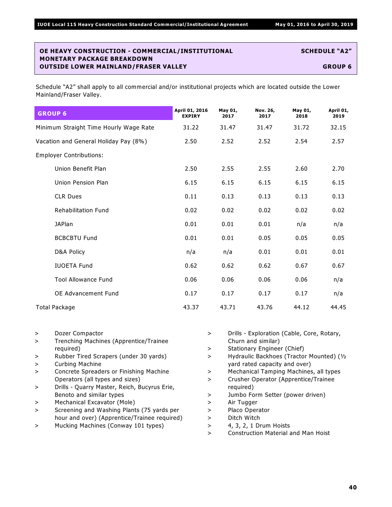| <b>GROUP 6</b>                         | April 01, 2016<br><b>EXPIRY</b> | May 01,<br>2017 | Nov. 26,<br>2017 | May 01,<br>2018 | April 01,<br>2019 |
|----------------------------------------|---------------------------------|-----------------|------------------|-----------------|-------------------|
| Minimum Straight Time Hourly Wage Rate | 31.22                           | 31.47           | 31.47            | 31.72           | 32.15             |
| Vacation and General Holiday Pay (8%)  | 2.50                            | 2.52            | 2.52             | 2.54            | 2.57              |
| <b>Employer Contributions:</b>         |                                 |                 |                  |                 |                   |
| Union Benefit Plan                     | 2.50                            | 2.55            | 2.55             | 2.60            | 2.70              |
| Union Pension Plan                     | 6.15                            | 6.15            | 6.15             | 6.15            | 6.15              |
| <b>CLR Dues</b>                        | 0.11                            | 0.13            | 0.13             | 0.13            | 0.13              |
| <b>Rehabilitation Fund</b>             | 0.02                            | 0.02            | 0.02             | 0.02            | 0.02              |
| <b>JAPlan</b>                          | 0.01                            | 0.01            | 0.01             | n/a             | n/a               |
| <b>BCBCBTU Fund</b>                    | 0.01                            | 0.01            | 0.05             | 0.05            | 0.05              |
| D&A Policy                             | n/a                             | n/a             | 0.01             | 0.01            | 0.01              |
| <b>IUOETA Fund</b>                     | 0.62                            | 0.62            | 0.62             | 0.67            | 0.67              |
| <b>Tool Allowance Fund</b>             | 0.06                            | 0.06            | 0.06             | 0.06            | n/a               |
| OE Advancement Fund                    | 0.17                            | 0.17            | 0.17             | 0.17            | n/a               |
| <b>Total Package</b>                   | 43.37                           | 43.71           | 43.76            | 44.12           | 44.45             |

- > Dozer Compactor
- > Trenching Machines (Apprentice/Trainee required)
- > Rubber Tired Scrapers (under 30 yards)
- > Curbing Machine
- > Concrete Spreaders or Finishing Machine Operators (all types and sizes)
- > Drills Quarry Master, Reich, Bucyrus Erie, Benoto and similar types
- > Mechanical Excavator (Mole)
- > Screening and Washing Plants (75 yards per hour and over) (Apprentice/Trainee required)
- > Mucking Machines (Conway 101 types)
- > Drills Exploration (Cable, Core, Rotary, Churn and similar)
- > Stationary Engineer (Chief)
- > Hydraulic Backhoes (Tractor Mounted) (½ yard rated capacity and over)
- > Mechanical Tamping Machines, all types
- > Crusher Operator (Apprentice/Trainee required)
- > Jumbo Form Setter (power driven)
- > Air Tugger
- > Placo Operator
- > Ditch Witch
- > 4, 3, 2, 1 Drum Hoists
- > Construction Material and Man Hoist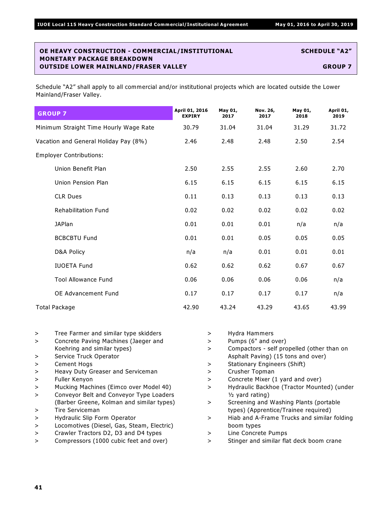| <b>GROUP 7</b>                         | April 01, 2016<br><b>EXPIRY</b> | May 01,<br>2017 | Nov. 26,<br>2017 | May 01,<br>2018 | April 01,<br>2019 |
|----------------------------------------|---------------------------------|-----------------|------------------|-----------------|-------------------|
| Minimum Straight Time Hourly Wage Rate | 30.79                           | 31.04           | 31.04            | 31.29           | 31.72             |
| Vacation and General Holiday Pay (8%)  | 2.46                            | 2.48            | 2.48             | 2.50            | 2.54              |
| <b>Employer Contributions:</b>         |                                 |                 |                  |                 |                   |
| Union Benefit Plan                     | 2.50                            | 2.55            | 2.55             | 2.60            | 2.70              |
| Union Pension Plan                     | 6.15                            | 6.15            | 6.15             | 6.15            | 6.15              |
| <b>CLR Dues</b>                        | 0.11                            | 0.13            | 0.13             | 0.13            | 0.13              |
| <b>Rehabilitation Fund</b>             | 0.02                            | 0.02            | 0.02             | 0.02            | 0.02              |
| <b>JAPlan</b>                          | 0.01                            | 0.01            | 0.01             | n/a             | n/a               |
| <b>BCBCBTU Fund</b>                    | 0.01                            | 0.01            | 0.05             | 0.05            | 0.05              |
| D&A Policy                             | n/a                             | n/a             | 0.01             | 0.01            | 0.01              |
| <b>IUOETA Fund</b>                     | 0.62                            | 0.62            | 0.62             | 0.67            | 0.67              |
| <b>Tool Allowance Fund</b>             | 0.06                            | 0.06            | 0.06             | 0.06            | n/a               |
| <b>OE Advancement Fund</b>             | 0.17                            | 0.17            | 0.17             | 0.17            | n/a               |
| Total Package                          | 42.90                           | 43.24           | 43.29            | 43.65           | 43.99             |

- > Tree Farmer and similar type skidders
- > Concrete Paving Machines (Jaeger and Koehring and similar types)
- > Service Truck Operator
- > Cement Hogs
- > Heavy Duty Greaser and Serviceman
- > Fuller Kenyon
- > Mucking Machines (Eimco over Model 40)
- > Conveyor Belt and Conveyor Type Loaders (Barber Greene, Kolman and similar types)
- > Tire Serviceman
- > Hydraulic Slip Form Operator
- > Locomotives (Diesel, Gas, Steam, Electric)
- > Crawler Tractors D2, D3 and D4 types
- > Compressors (1000 cubic feet and over)
- > Hydra Hammers > Pumps (6" and over) > Compactors - self propelled (other than on Asphalt Paving) (15 tons and over) > Stationary Engineers (Shift) > Crusher Topman > Concrete Mixer (1 yard and over) > Hydraulic Backhoe (Tractor Mounted) (under  $1/2$  yard rating) > Screening and Washing Plants (portable types) (Apprentice/Trainee required) > Hiab and A-Frame Trucks and similar folding boom types
- > Line Concrete Pumps
- > Stinger and similar flat deck boom crane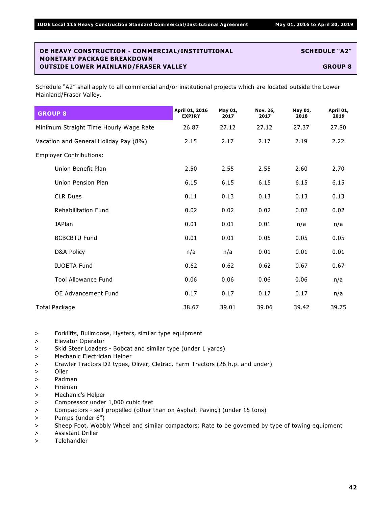| <b>GROUP 8</b>                         | April 01, 2016<br><b>EXPIRY</b> | May 01,<br>2017 | Nov. 26,<br>2017 | May 01,<br>2018 | April 01,<br>2019 |
|----------------------------------------|---------------------------------|-----------------|------------------|-----------------|-------------------|
| Minimum Straight Time Hourly Wage Rate | 26.87                           | 27.12           | 27.12            | 27.37           | 27.80             |
| Vacation and General Holiday Pay (8%)  | 2.15                            | 2.17            | 2.17             | 2.19            | 2.22              |
| <b>Employer Contributions:</b>         |                                 |                 |                  |                 |                   |
| Union Benefit Plan                     | 2.50                            | 2.55            | 2.55             | 2.60            | 2.70              |
| Union Pension Plan                     | 6.15                            | 6.15            | 6.15             | 6.15            | 6.15              |
| <b>CLR Dues</b>                        | 0.11                            | 0.13            | 0.13             | 0.13            | 0.13              |
| <b>Rehabilitation Fund</b>             | 0.02                            | 0.02            | 0.02             | 0.02            | 0.02              |
| <b>JAPlan</b>                          | 0.01                            | 0.01            | 0.01             | n/a             | n/a               |
| <b>BCBCBTU Fund</b>                    | 0.01                            | 0.01            | 0.05             | 0.05            | 0.05              |
| D&A Policy                             | n/a                             | n/a             | 0.01             | 0.01            | 0.01              |
| <b>IUOETA Fund</b>                     | 0.62                            | 0.62            | 0.62             | 0.67            | 0.67              |
| <b>Tool Allowance Fund</b>             | 0.06                            | 0.06            | 0.06             | 0.06            | n/a               |
| OE Advancement Fund                    | 0.17                            | 0.17            | 0.17             | 0.17            | n/a               |
| Total Package                          | 38.67                           | 39.01           | 39.06            | 39.42           | 39.75             |

- > Forklifts, Bullmoose, Hysters, similar type equipment
- > Elevator Operator
- > Skid Steer Loaders Bobcat and similar type (under 1 yards)
- > Mechanic Electrician Helper
- > Crawler Tractors D2 types, Oliver, Cletrac, Farm Tractors (26 h.p. and under)
- > Oiler
- > Padman
- > Fireman
- > Mechanic's Helper
- > Compressor under 1,000 cubic feet
- > Compactors self propelled (other than on Asphalt Paving) (under 15 tons)
- > Pumps (under 6")
- > Sheep Foot, Wobbly Wheel and similar compactors: Rate to be governed by type of towing equipment
- > Assistant Driller
- > Telehandler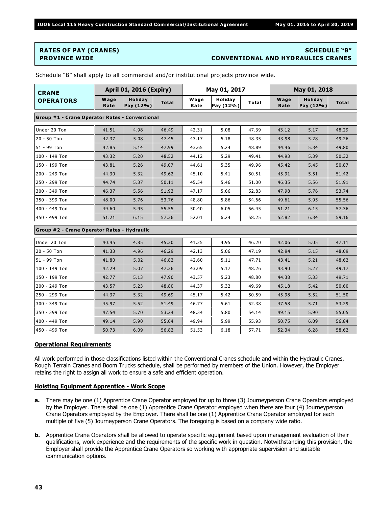#### **RATES OF PAY (CRANES) SCHEDULE "B" PROVINCE WIDE CONVENTIONAL AND HYDRAULICS CRANES**

| <b>CRANE</b>                                   | <b>April 01, 2016 (Expiry)</b>              |      |              | May 01, 2017 |                      |       | May 01, 2018 |                             |              |
|------------------------------------------------|---------------------------------------------|------|--------------|--------------|----------------------|-------|--------------|-----------------------------|--------------|
| <b>OPERATORS</b>                               | Wage<br><b>Holiday</b><br>Pay (12%)<br>Rate |      | <b>Total</b> | Wage<br>Rate | Holiday<br>Pay (12%) | Total | Wage<br>Rate | <b>Holiday</b><br>Pay (12%) | <b>Total</b> |
| Group #1 - Crane Operator Rates - Conventional |                                             |      |              |              |                      |       |              |                             |              |
| Under 20 Ton                                   | 41.51                                       | 4.98 | 46.49        | 42.31        | 5.08                 | 47.39 | 43.12        | 5.17                        | 48.29        |
| $20 - 50$ Ton                                  | 42.37                                       | 5.08 | 47.45        | 43.17        | 5.18                 | 48.35 | 43.98        | 5.28                        | 49.26        |
| 51 - 99 Ton                                    | 42.85                                       | 5.14 | 47.99        | 43.65        | 5.24                 | 48.89 | 44.46        | 5.34                        | 49.80        |
| 100 - 149 Ton                                  | 43.32                                       | 5.20 | 48.52        | 44.12        | 5.29                 | 49.41 | 44.93        | 5.39                        | 50.32        |
| 150 - 199 Ton                                  | 43.81                                       | 5.26 | 49.07        | 44.61        | 5.35                 | 49.96 | 45.42        | 5.45                        | 50.87        |
| 200 - 249 Ton                                  | 44.30                                       | 5.32 | 49.62        | 45.10        | 5.41                 | 50.51 | 45.91        | 5.51                        | 51.42        |
| 250 - 299 Ton                                  | 44.74                                       | 5.37 | 50.11        | 45.54        | 5.46                 | 51.00 | 46.35        | 5.56                        | 51.91        |
| 300 - 349 Ton                                  | 46.37                                       | 5.56 | 51.93        | 47.17        | 5.66                 | 52.83 | 47.98        | 5.76                        | 53.74        |
| 350 - 399 Ton                                  | 48.00                                       | 5.76 | 53.76        | 48.80        | 5.86                 | 54.66 | 49.61        | 5.95                        | 55.56        |
| 400 - 449 Ton                                  | 49.60                                       | 5.95 | 55.55        | 50.40        | 6.05                 | 56.45 | 51.21        | 6.15                        | 57.36        |
| 450 - 499 Ton                                  | 51.21                                       | 6.15 | 57.36        | 52.01        | 6.24                 | 58.25 | 52.82        | 6.34                        | 59.16        |
| Group #2 - Crane Operator Rates - Hydraulic    |                                             |      |              |              |                      |       |              |                             |              |
| Under 20 Ton                                   | 40.45                                       | 4.85 | 45.30        | 41.25        | 4.95                 | 46.20 | 42.06        | 5.05                        | 47.11        |
| $20 - 50$ Ton                                  | 41.33                                       | 4.96 | 46.29        | 42.13        | 5.06                 | 47.19 | 42.94        | 5.15                        | 48.09        |
| 51 - 99 Ton                                    | 41.80                                       | 5.02 | 46.82        | 42.60        | 5.11                 | 47.71 | 43.41        | 5.21                        | 48.62        |
| 100 - 149 Ton                                  | 42.29                                       | 5.07 | 47.36        | 43.09        | 5.17                 | 48.26 | 43.90        | 5.27                        | 49.17        |
| 150 - 199 Ton                                  | 42.77                                       | 5.13 | 47.90        | 43.57        | 5.23                 | 48.80 | 44.38        | 5.33                        | 49.71        |
| 200 - 249 Ton                                  | 43.57                                       | 5.23 | 48.80        | 44.37        | 5.32                 | 49.69 | 45.18        | 5.42                        | 50.60        |
| 250 - 299 Ton                                  | 44.37                                       | 5.32 | 49.69        | 45.17        | 5.42                 | 50.59 | 45.98        | 5.52                        | 51.50        |
| 300 - 349 Ton                                  | 45.97                                       | 5.52 | 51.49        | 46.77        | 5.61                 | 52.38 | 47.58        | 5.71                        | 53.29        |
| 350 - 399 Ton                                  | 47.54                                       | 5.70 | 53.24        | 48.34        | 5.80                 | 54.14 | 49.15        | 5.90                        | 55.05        |
| 400 - 449 Ton                                  | 49.14                                       | 5.90 | 55.04        | 49.94        | 5.99                 | 55.93 | 50.75        | 6.09                        | 56.84        |
| 450 - 499 Ton                                  | 50.73                                       | 6.09 | 56.82        | 51.53        | 6.18                 | 57.71 | 52.34        | 6.28                        | 58.62        |

Schedule "B" shall apply to all commercial and/or institutional projects province wide.

#### **Operational Requirements**

All work performed in those classifications listed within the Conventional Cranes schedule and within the Hydraulic Cranes, Rough Terrain Cranes and Boom Trucks schedule, shall be performed by members of the Union. However, the Employer retains the right to assign all work to ensure a safe and efficient operation.

#### **Hoisting Equipment Apprentice - Work Scope**

- **a.** There may be one (1) Apprentice Crane Operator employed for up to three (3) Journeyperson Crane Operators employed by the Employer. There shall be one (1) Apprentice Crane Operator employed when there are four (4) Journeyperson Crane Operators employed by the Employer. There shall be one (1) Apprentice Crane Operator employed for each multiple of five (5) Journeyperson Crane Operators. The foregoing is based on a company wide ratio.
- **b.** Apprentice Crane Operators shall be allowed to operate specific equipment based upon management evaluation of their qualifications, work experience and the requirements of the specific work in question. Notwithstanding this provision, the Employer shall provide the Apprentice Crane Operators so working with appropriate supervision and suitable communication options.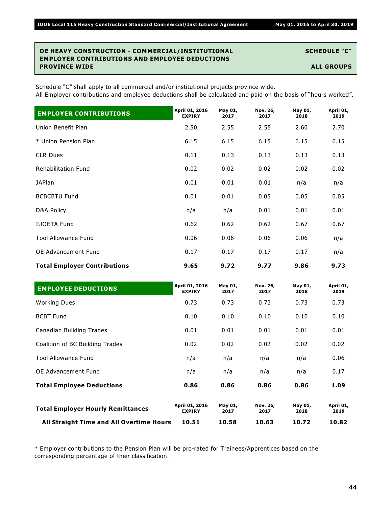#### **OE HEAVY CONSTRUCTION - COMMERCIAL/INSTITUTIONAL SCHEDULE "C" EMPLOYER CONTRIBUTIONS AND EMPLOYEE DEDUCTIONS PROVINCE WIDE ALL GROUPS**

Schedule "C" shall apply to all commercial and/or institutional projects province wide. All Employer contributions and employee deductions shall be calculated and paid on the basis of "hours worked".

| <b>EMPLOYER CONTRIBUTIONS</b>       | April 01, 2016<br><b>EXPIRY</b> | May 01,<br>2017 | Nov. 26,<br>2017 | May 01,<br>2018 | April 01,<br>2019 |
|-------------------------------------|---------------------------------|-----------------|------------------|-----------------|-------------------|
| Union Benefit Plan                  | 2.50                            | 2.55            | 2.55             | 2.60            | 2.70              |
| * Union Pension Plan                | 6.15                            | 6.15            | 6.15             | 6.15            | 6.15              |
| <b>CLR Dues</b>                     | 0.11                            | 0.13            | 0.13             | 0.13            | 0.13              |
| <b>Rehabilitation Fund</b>          | 0.02                            | 0.02            | 0.02             | 0.02            | 0.02              |
| <b>JAPlan</b>                       | 0.01                            | 0.01            | 0.01             | n/a             | n/a               |
| <b>BCBCBTU Fund</b>                 | 0.01                            | 0.01            | 0.05             | 0.05            | 0.05              |
| D&A Policy                          | n/a                             | n/a             | 0.01             | 0.01            | 0.01              |
| <b>IUOETA Fund</b>                  | 0.62                            | 0.62            | 0.62             | 0.67            | 0.67              |
| <b>Tool Allowance Fund</b>          | 0.06                            | 0.06            | 0.06             | 0.06            | n/a               |
| OE Advancement Fund                 | 0.17                            | 0.17            | 0.17             | 0.17            | n/a               |
| <b>Total Employer Contributions</b> | 9.65                            | 9.72            | 9.77             | 9.86            | 9.73              |

| <b>EMPLOYEE DEDUCTIONS</b>               | April 01, 2016<br><b>EXPIRY</b> | May 01,<br>2017 | Nov. 26,<br>2017 | May 01,<br>2018 | April 01,<br>2019 |
|------------------------------------------|---------------------------------|-----------------|------------------|-----------------|-------------------|
| <b>Working Dues</b>                      | 0.73                            | 0.73            | 0.73             | 0.73            | 0.73              |
| <b>BCBT Fund</b>                         | 0.10                            | 0.10            | 0.10             | 0.10            | 0.10              |
| Canadian Building Trades                 | 0.01                            | 0.01            | 0.01             | 0.01            | 0.01              |
| Coalition of BC Building Trades          | 0.02                            | 0.02            | 0.02             | 0.02            | 0.02              |
| <b>Tool Allowance Fund</b>               | n/a                             | n/a             | n/a              | n/a             | 0.06              |
| OE Advancement Fund                      | n/a                             | n/a             | n/a              | n/a             | 0.17              |
| <b>Total Employee Deductions</b>         | 0.86                            | 0.86            | 0.86             | 0.86            | 1.09              |
| <b>Total Employer Hourly Remittances</b> | April 01, 2016<br><b>EXPIRY</b> | May 01,<br>2017 | Nov. 26,<br>2017 | May 01,<br>2018 | April 01,<br>2019 |
| All Straight Time and All Overtime Hours | 10.51                           | 10.58           | 10.63            | 10.72           | 10.82             |

\* Employer contributions to the Pension Plan will be pro-rated for Trainees/Apprentices based on the corresponding percentage of their classification.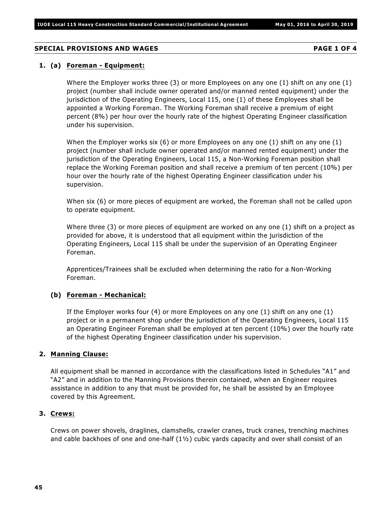#### **SPECIAL PROVISIONS AND WAGES PAGE 1 OF 4**

#### **1. (a) Foreman - Equipment:**

Where the Employer works three (3) or more Employees on any one (1) shift on any one (1) project (number shall include owner operated and/or manned rented equipment) under the jurisdiction of the Operating Engineers, Local 115, one (1) of these Employees shall be appointed a Working Foreman. The Working Foreman shall receive a premium of eight percent (8%) per hour over the hourly rate of the highest Operating Engineer classification under his supervision.

When the Employer works six (6) or more Employees on any one (1) shift on any one (1) project (number shall include owner operated and/or manned rented equipment) under the jurisdiction of the Operating Engineers, Local 115, a Non-Working Foreman position shall replace the Working Foreman position and shall receive a premium of ten percent (10%) per hour over the hourly rate of the highest Operating Engineer classification under his supervision.

When six (6) or more pieces of equipment are worked, the Foreman shall not be called upon to operate equipment.

Where three (3) or more pieces of equipment are worked on any one (1) shift on a project as provided for above, it is understood that all equipment within the jurisdiction of the Operating Engineers, Local 115 shall be under the supervision of an Operating Engineer Foreman.

Apprentices/Trainees shall be excluded when determining the ratio for a Non-Working Foreman.

#### **(b) Foreman - Mechanical:**

If the Employer works four (4) or more Employees on any one (1) shift on any one (1) project or in a permanent shop under the jurisdiction of the Operating Engineers, Local 115 an Operating Engineer Foreman shall be employed at ten percent (10%) over the hourly rate of the highest Operating Engineer classification under his supervision.

#### **2. Manning Clause:**

All equipment shall be manned in accordance with the classifications listed in Schedules "A1" and "A2" and in addition to the Manning Provisions therein contained, when an Engineer requires assistance in addition to any that must be provided for, he shall be assisted by an Employee covered by this Agreement.

#### **3. Crews:**

Crews on power shovels, draglines, clamshells, crawler cranes, truck cranes, trenching machines and cable backhoes of one and one-half  $(1\frac{1}{2})$  cubic yards capacity and over shall consist of an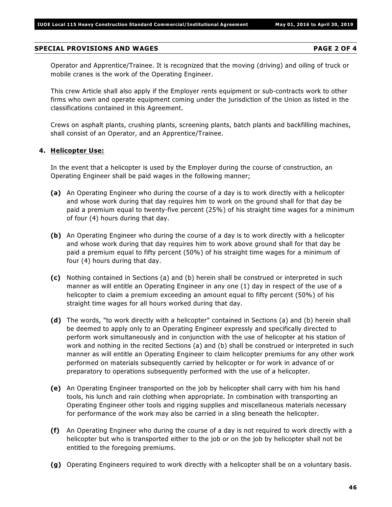#### **SPECIAL PROVISIONS AND WAGES PAGE 2 OF 4**

Operator and Apprentice/Trainee. It is recognized that the moving (driving) and oiling of truck or mobile cranes is the work of the Operating Engineer.

This crew Article shall also apply if the Employer rents equipment or sub-contracts work to other firms who own and operate equipment coming under the jurisdiction of the Union as listed in the classifications contained in this Agreement.

Crews on asphalt plants, crushing plants, screening plants, batch plants and backfilling machines, shall consist of an Operator, and an Apprentice/Trainee.

#### **4. Helicopter Use:**

In the event that a helicopter is used by the Employer during the course of construction, an Operating Engineer shall be paid wages in the following manner;

- **(a)** An Operating Engineer who during the course of a day is to work directly with a helicopter and whose work during that day requires him to work on the ground shall for that day be paid a premium equal to twenty-five percent (25%) of his straight time wages for a minimum of four (4) hours during that day.
- **(b)** An Operating Engineer who during the course of a day is to work directly with a helicopter and whose work during that day requires him to work above ground shall for that day be paid a premium equal to fifty percent (50%) of his straight time wages for a minimum of four (4) hours during that day.
- **(c)** Nothing contained in Sections (a) and (b) herein shall be construed or interpreted in such manner as will entitle an Operating Engineer in any one (1) day in respect of the use of a helicopter to claim a premium exceeding an amount equal to fifty percent (50%) of his straight time wages for all hours worked during that day.
- **(d)** The words, "to work directly with a helicopter" contained in Sections (a) and (b) herein shall be deemed to apply only to an Operating Engineer expressly and specifically directed to perform work simultaneously and in conjunction with the use of helicopter at his station of work and nothing in the recited Sections (a) and (b) shall be construed or interpreted in such manner as will entitle an Operating Engineer to claim helicopter premiums for any other work performed on materials subsequently carried by helicopter or for work in advance of or preparatory to operations subsequently performed with the use of a helicopter.
- **(e)** An Operating Engineer transported on the job by helicopter shall carry with him his hand tools, his lunch and rain clothing when appropriate. In combination with transporting an Operating Engineer other tools and rigging supplies and miscellaneous materials necessary for performance of the work may also be carried in a sling beneath the helicopter.
- **(f)** An Operating Engineer who during the course of a day is not required to work directly with a helicopter but who is transported either to the job or on the job by helicopter shall not be entitled to the foregoing premiums.
- **(g)** Operating Engineers required to work directly with a helicopter shall be on a voluntary basis.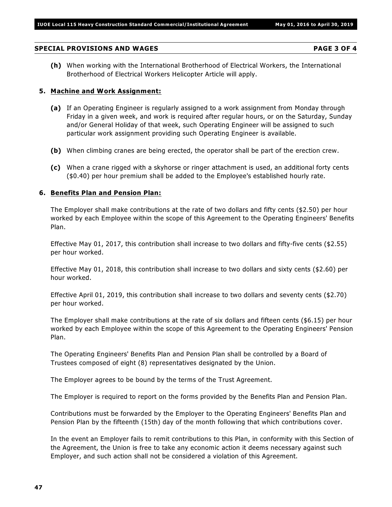# **SPECIAL PROVISIONS AND WAGES PAGE 3 OF 4**

**(h)** When working with the International Brotherhood of Electrical Workers, the International Brotherhood of Electrical Workers Helicopter Article will apply.

# **5. Machine and Work Assignment:**

- **(a)** If an Operating Engineer is regularly assigned to a work assignment from Monday through Friday in a given week, and work is required after regular hours, or on the Saturday, Sunday and/or General Holiday of that week, such Operating Engineer will be assigned to such particular work assignment providing such Operating Engineer is available.
- **(b)** When climbing cranes are being erected, the operator shall be part of the erection crew.
- **(c)** When a crane rigged with a skyhorse or ringer attachment is used, an additional forty cents (\$0.40) per hour premium shall be added to the Employee's established hourly rate.

# **6. Benefits Plan and Pension Plan:**

The Employer shall make contributions at the rate of two dollars and fifty cents (\$2.50) per hour worked by each Employee within the scope of this Agreement to the Operating Engineers' Benefits Plan.

Effective May 01, 2017, this contribution shall increase to two dollars and fifty-five cents (\$2.55) per hour worked.

Effective May 01, 2018, this contribution shall increase to two dollars and sixty cents (\$2.60) per hour worked.

Effective April 01, 2019, this contribution shall increase to two dollars and seventy cents (\$2.70) per hour worked.

The Employer shall make contributions at the rate of six dollars and fifteen cents (\$6.15) per hour worked by each Employee within the scope of this Agreement to the Operating Engineers' Pension Plan.

The Operating Engineers' Benefits Plan and Pension Plan shall be controlled by a Board of Trustees composed of eight (8) representatives designated by the Union.

The Employer agrees to be bound by the terms of the Trust Agreement.

The Employer is required to report on the forms provided by the Benefits Plan and Pension Plan.

Contributions must be forwarded by the Employer to the Operating Engineers' Benefits Plan and Pension Plan by the fifteenth (15th) day of the month following that which contributions cover.

In the event an Employer fails to remit contributions to this Plan, in conformity with this Section of the Agreement, the Union is free to take any economic action it deems necessary against such Employer, and such action shall not be considered a violation of this Agreement.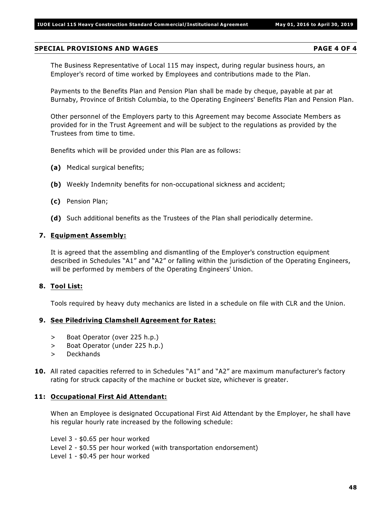#### **SPECIAL PROVISIONS AND WAGES PAGE 4 OF 4**

The Business Representative of Local 115 may inspect, during regular business hours, an Employer's record of time worked by Employees and contributions made to the Plan.

Payments to the Benefits Plan and Pension Plan shall be made by cheque, payable at par at Burnaby, Province of British Columbia, to the Operating Engineers' Benefits Plan and Pension Plan.

Other personnel of the Employers party to this Agreement may become Associate Members as provided for in the Trust Agreement and will be subject to the regulations as provided by the Trustees from time to time.

Benefits which will be provided under this Plan are as follows:

- **(a)** Medical surgical benefits;
- **(b)** Weekly Indemnity benefits for non-occupational sickness and accident;
- **(c)** Pension Plan;
- **(d)** Such additional benefits as the Trustees of the Plan shall periodically determine.

#### **7. Equipment Assembly:**

It is agreed that the assembling and dismantling of the Employer's construction equipment described in Schedules "A1" and "A2" or falling within the jurisdiction of the Operating Engineers, will be performed by members of the Operating Engineers' Union.

#### **8. Tool List:**

Tools required by heavy duty mechanics are listed in a schedule on file with CLR and the Union.

#### **9. See Piledriving Clamshell Agreement for Rates:**

- > Boat Operator (over 225 h.p.)
- > Boat Operator (under 225 h.p.)
- > Deckhands
- **10.** All rated capacities referred to in Schedules "A1" and "A2" are maximum manufacturer's factory rating for struck capacity of the machine or bucket size, whichever is greater.

#### **11: Occupational First Aid Attendant:**

When an Employee is designated Occupational First Aid Attendant by the Employer, he shall have his regular hourly rate increased by the following schedule:

Level 3 - \$0.65 per hour worked Level 2 - \$0.55 per hour worked (with transportation endorsement) Level 1 - \$0.45 per hour worked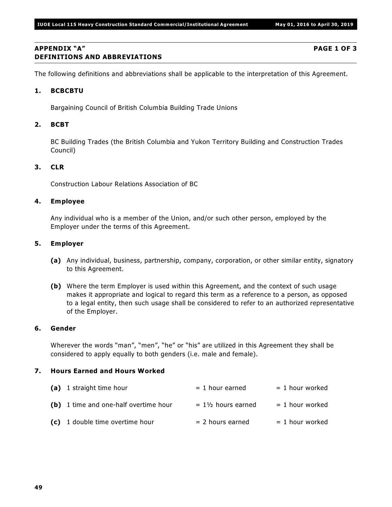#### **APPENDIX "A" PAGE 1 OF 3 DEFINITIONS AND ABBREVIATIONS**

The following definitions and abbreviations shall be applicable to the interpretation of this Agreement.

#### **1. BCBCBTU**

Bargaining Council of British Columbia Building Trade Unions

#### **2. BCBT**

BC Building Trades (the British Columbia and Yukon Territory Building and Construction Trades Council)

#### **3. CLR**

Construction Labour Relations Association of BC

#### **4. Employee**

Any individual who is a member of the Union, and/or such other person, employed by the Employer under the terms of this Agreement.

#### **5. Employer**

- **(a)** Any individual, business, partnership, company, corporation, or other similar entity, signatory to this Agreement.
- **(b)** Where the term Employer is used within this Agreement, and the context of such usage makes it appropriate and logical to regard this term as a reference to a person, as opposed to a legal entity, then such usage shall be considered to refer to an authorized representative of the Employer.

### **6. Gender**

Wherever the words "man", "men", "he" or "his" are utilized in this Agreement they shall be considered to apply equally to both genders (i.e. male and female).

#### **7. Hours Earned and Hours Worked**

| (a) 1 straight time hour              | $= 1$ hour earned             | $= 1$ hour worked |
|---------------------------------------|-------------------------------|-------------------|
| (b) 1 time and one-half overtime hour | $= 1\frac{1}{2}$ hours earned | $= 1$ hour worked |
| (c) 1 double time overtime hour       | $= 2$ hours earned            | $= 1$ hour worked |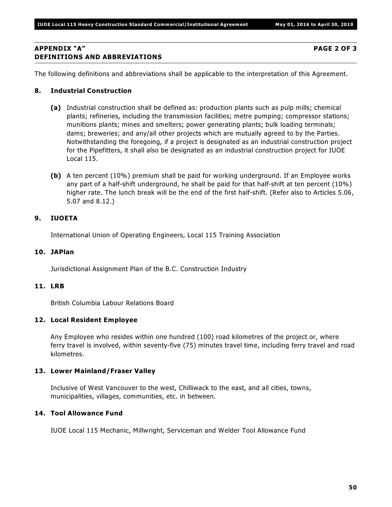#### **APPENDIX "A" PAGE 2 OF 3 DEFINITIONS AND ABBREVIATIONS**

The following definitions and abbreviations shall be applicable to the interpretation of this Agreement.

### **8. Industrial Construction**

- **(a)** Industrial construction shall be defined as: production plants such as pulp mills; chemical plants; refineries, including the transmission facilities; metre pumping; compressor stations; munitions plants; mines and smelters; power generating plants; bulk loading terminals; dams; breweries; and any/all other projects which are mutually agreed to by the Parties. Notwithstanding the foregoing, if a project is designated as an industrial construction project for the Pipefitters, it shall also be designated as an industrial construction project for IUOE Local 115.
- **(b)** A ten percent (10%) premium shall be paid for working underground. If an Employee works any part of a half-shift underground, he shall be paid for that half-shift at ten percent (10%) higher rate. The lunch break will be the end of the first half-shift. (Refer also to Articles 5.06, 5.07 and 8.12.)

# **9. IUOETA**

International Union of Operating Engineers, Local 115 Training Association

#### **10. JAPlan**

Jurisdictional Assignment Plan of the B.C. Construction Industry

# **11. LRB**

British Columbia Labour Relations Board

#### **12. Local Resident Employee**

Any Employee who resides within one hundred (100) road kilometres of the project or, where ferry travel is involved, within seventy-five (75) minutes travel time, including ferry travel and road kilometres.

#### **13. Lower Mainland/Fraser Valley**

Inclusive of West Vancouver to the west, Chilliwack to the east, and all cities, towns, municipalities, villages, communities, etc. in between.

#### **14. Tool Allowance Fund**

IUOE Local 115 Mechanic, Millwright, Serviceman and Welder Tool Allowance Fund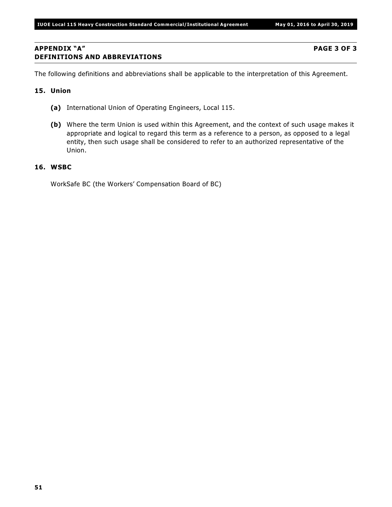### **APPENDIX "A" PAGE 3 OF 3 DEFINITIONS AND ABBREVIATIONS**

The following definitions and abbreviations shall be applicable to the interpretation of this Agreement.

#### **15. Union**

- **(a)** International Union of Operating Engineers, Local 115.
- **(b)** Where the term Union is used within this Agreement, and the context of such usage makes it appropriate and logical to regard this term as a reference to a person, as opposed to a legal entity, then such usage shall be considered to refer to an authorized representative of the Union.

#### **16. WSBC**

WorkSafe BC (the Workers' Compensation Board of BC)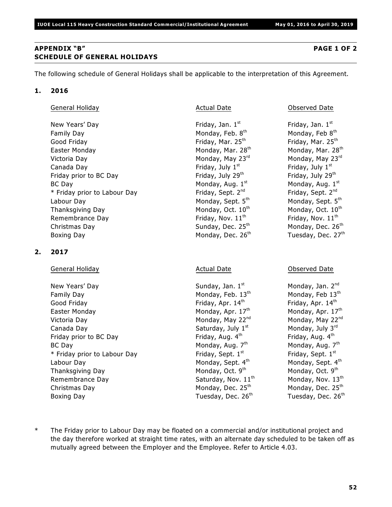### **APPENDIX "B" PAGE 1 OF 2 SCHEDULE OF GENERAL HOLIDAYS**

The following schedule of General Holidays shall be applicable to the interpretation of this Agreement.

### **1. 2016**

General Holiday **Actual Date Conserved Date** Observed Date **Conserved Date** Observed Date

New Years' Day Friday, Jan. 1st Family Day Monday, Feb. 8th Good Friday  $\qquad \qquad$  Friday, Mar. 25 $^{\rm th}$   $\qquad \qquad$  Friday, Mar. 25 $^{\rm th}$ Easter Monday Monday, Mar. 28 Monday, Mar. 28 th th Victoria Day Monday, May 23<sup>rd</sup> Canada Day **Friday**, July 1st Friday prior to BC Day Friday, July 29<sup>th</sup> BC Day Monday, Aug. 1st \* Friday prior to Labour Day Friday, Sept. 2<sup>nd</sup> Labour Day Monday, Sept. 5<sup>th</sup> Thanksgiving Day  $M$  Monday, Oct.  $10<sup>th</sup>$ Remembrance Day **Friday**, Nov. 11<sup>th</sup> Christmas Day Sunday, Dec. 25 Monday, Dec. 26 th th Boxing Day Monday, Dec. 26<sup>th</sup>

# **2. 2017**

General Holiday **Actual Date Contracts** Actual Date **Contracts** Observed Date

New Years' Day Sunday, Jan. 1st Family Day Monday, Feb. 13<sup>th</sup> Good Friday **Friday**, Apr. 14<sup>th</sup> Easter Monday Monday, Apr. 17 Monday, Apr. 17 th th Victoria Day Monday, May 22<sup>nd</sup> Canada Day  $S$ aturday, July  $1<sup>st</sup>$ Friday prior to BC Day Friday, Aug. 4th BC Day Monday, Aug. 7th  $*$  Friday prior to Labour Day Friday, Sept.  $1<sup>st</sup>$ Labour Day **Monday, Sept. 4th** Thanksgiving Day Monday, Oct. 9th Remembrance Day  $S$ aturday, Nov.  $11<sup>th</sup>$ Christmas Day Monday, Dec. 25<sup>th</sup> Boxing Day **Tuesday, Dec. 26<sup>th</sup>** 

Friday, Jan.  $1<sup>st</sup>$ Monday, Feb 8<sup>th</sup> Monday, May 23rd Friday, July  $1<sup>st</sup>$ Friday, July 29th Monday, Aug. 1st Friday, Sept. 2<sup>nd</sup> Monday, Sept. 5th Monday, Oct. 10<sup>th</sup> Friday, Nov.  $11<sup>th</sup>$ Tuesday, Dec.  $27<sup>th</sup>$ 

- Monday, Jan. 2<sup>nd</sup> Monday, Feb  $13<sup>th</sup>$ Friday, Apr. 14th Monday, May 22nd Monday, July 3rd Friday, Aug. 4th Monday, Aug. 7th Friday, Sept.  $1<sup>st</sup>$ Monday, Sept. 4th Monday, Oct.  $9<sup>th</sup>$ Monday, Nov.  $13^{th}$ Monday, Dec. 25<sup>th</sup> Tuesday, Dec. 26<sup>th</sup>
- \* The Friday prior to Labour Day may be floated on a commercial and/or institutional project and the day therefore worked at straight time rates, with an alternate day scheduled to be taken off as mutually agreed between the Employer and the Employee. Refer to Article 4.03.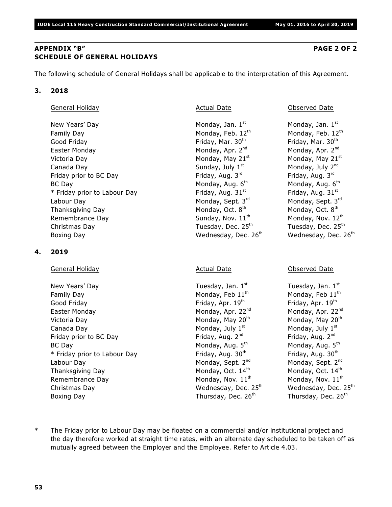### **APPENDIX "B" PAGE 2 OF 2 SCHEDULE OF GENERAL HOLIDAYS**

The following schedule of General Holidays shall be applicable to the interpretation of this Agreement.

### **3. 2018**

General Holiday **Actual Date Conserved Date** Observed Date **Conserved Date** Observed Date

New Years' Day  $M$  Monday, Jan.  $1<sup>st</sup>$ Family Day Monday, Feb.  $12<sup>th</sup>$ Good Friday **Friday**, Mar. 30<sup>th</sup> Easter Monday Monday, Apr. 2<sup>nd</sup> Victoria Day  $M$ onday, May 21st Canada Day  $Sunday, July 1<sup>st</sup>$ Friday prior to BC Day Friday, Aug. 3rd BC Day Monday, Aug. 6th  $*$  Friday prior to Labour Day Friday, Aug. 31st Labour Day Monday, Sept. 3rd Thanksgiving Day Monday, Oct. 8<sup>th</sup> Remembrance Day  $Sunday, Nov. 11<sup>th</sup>$ Christmas Day Tuesday, Dec. 25 Tuesday, Dec. 25 th th Boxing Day **Wednesday, Dec. 26<sup>th</sup>** 

### **4. 2019**

General Holiday **Actual Date Contracts** Actual Date **Contracts** Observed Date

New Years' Day **Tuesday, Jan. 1st** Family Day Monday, Feb 11<sup>th</sup> Good Friday **Friday**, Apr. 19<sup>th</sup> Easter Monday **Monday, Apr. 22<sup>nd</sup>** Monday, Apr. 22<sup>nd</sup> Victoria Day Monday, May 20<sup>th</sup> Canada Day  $\sim$  Monday, July 1st Friday prior to BC Day  $\qquad \qquad$  Friday, Aug.  $2^{nd}$ BC Day Monday, Aug.  $5<sup>th</sup>$  Monday, Aug.  $5<sup>th</sup>$  $*$  Friday prior to Labour Day Friday, Aug. 30<sup>th</sup> Labour Day Monday, Sept. 2<sup>nd</sup> Thanksgiving Day  $M_{\text{max}}$  Monday, Oct.  $14^{\text{th}}$ Remembrance Day  $M$ onday, Nov. 11<sup>th</sup> Christmas Day Wednesday, Dec. 25<sup>th</sup> Wednesday, Dec. 25<sup>th</sup> Boxing Day **Thursday, Dec. 26<sup>th</sup>** 

Monday, Jan.  $1<sup>st</sup>$ Monday, Feb. 12th Friday, Mar. 30th Monday, Apr. 2<sup>nd</sup> Monday, May 21st Monday, July 2<sup>nd</sup> Friday, Aug. 3rd Monday, Aug. 6th Friday, Aug.  $31<sup>st</sup>$ Monday, Sept. 3rd Monday, Oct. 8<sup>th</sup> Monday, Nov. 12th Wednesday, Dec.  $26<sup>th</sup>$ 

Tuesday, Jan. 1st Monday, Feb 11<sup>th</sup> Friday, Apr. 19th Monday, Apr. 22<sup>nd</sup> Monday, May 20<sup>th</sup> Monday, July 1st Friday, Aug. 2<sup>nd</sup> Monday, Aug. 5<sup>th</sup> Friday, Aug. 30th Monday, Sept. 2<sup>nd</sup> Monday, Oct.  $14^{\text{th}}$ Monday, Nov.  $11^{th}$ Thursday, Dec. 26<sup>th</sup>

\* The Friday prior to Labour Day may be floated on a commercial and/or institutional project and the day therefore worked at straight time rates, with an alternate day scheduled to be taken off as mutually agreed between the Employer and the Employee. Refer to Article 4.03.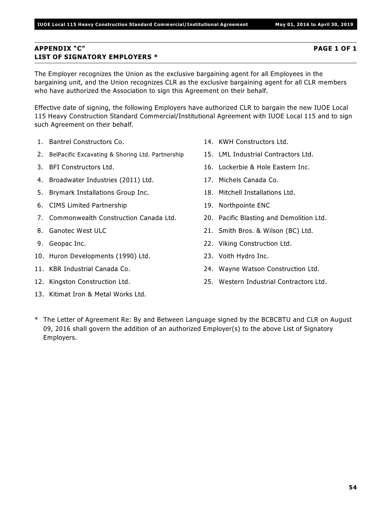# **APPENDIX "C" PAGE 1 OF 1 LIST OF SIGNATORY EMPLOYERS \***

The Employer recognizes the Union as the exclusive bargaining agent for all Employees in the bargaining unit, and the Union recognizes CLR as the exclusive bargaining agent for all CLR members who have authorized the Association to sign this Agreement on their behalf.

Effective date of signing, the following Employers have authorized CLR to bargain the new IUOE Local 115 Heavy Construction Standard Commercial/Institutional Agreement with IUOE Local 115 and to sign such Agreement on their behalf.

- 1. Bantrel Constructors Co.
- 2. BelPacific Excavating & Shoring Ltd. Partnership
- 3. BFI Constructors Ltd.
- 4. Broadwater Industries (2011) Ltd.
- 5. Brymark Installations Group Inc.
- 6. CIMS Limited Partnership
- 7. Commonwealth Construction Canada Ltd.
- 8. Ganotec West ULC
- 9. Geopac Inc.
- 10. Huron Developments (1990) Ltd.
- 11. KBR Industrial Canada Co.
- 12. Kingston Construction Ltd.
- 13. Kitimat Iron & Metal Works Ltd.
- 14. KWH Constructors Ltd.
- 15. LML Industrial Contractors Ltd.
- 16. Lockerbie & Hole Eastern Inc.
- 17. Michels Canada Co.
- 18. Mitchell Installations Ltd.
- 19. Northpointe ENC
- 20. Pacific Blasting and Demolition Ltd.
- 21. Smith Bros. & Wilson (BC) Ltd.
- 22. Viking Construction Ltd.
- 23. Voith Hydro Inc.
- 24. Wayne Watson Construction Ltd.
- 25. Western Industrial Contractors Ltd.
- \* The Letter of Agreement Re: By and Between Language signed by the BCBCBTU and CLR on August 09, 2016 shall govern the addition of an authorized Employer(s) to the above List of Signatory Employers.